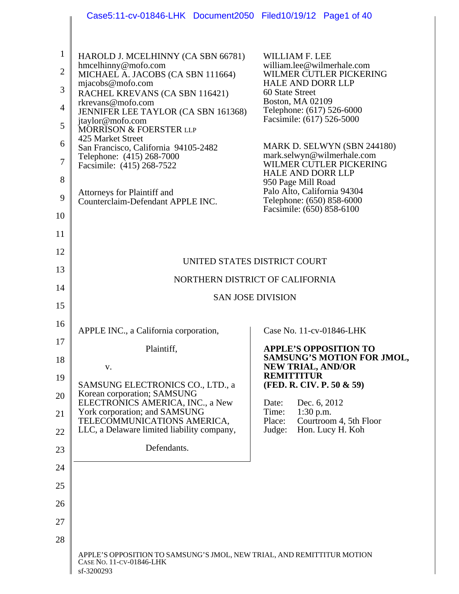|                                | Case5:11-cv-01846-LHK Document2050 Filed10/19/12 Page1 of 40                                   |                                                               |
|--------------------------------|------------------------------------------------------------------------------------------------|---------------------------------------------------------------|
|                                |                                                                                                |                                                               |
| $\mathbf{1}$<br>$\overline{2}$ | HAROLD J. MCELHINNY (CA SBN 66781)<br>hmcelhinny@mofo.com                                      | <b>WILLIAM F. LEE</b><br>william.lee@wilmerhale.com           |
| $\overline{3}$                 | MICHAEL A. JACOBS (CA SBN 111664)<br>mjacobs@mofo.com                                          | WILMER CUTLER PICKERING<br><b>HALE AND DORR LLP</b>           |
| $\overline{4}$                 | RACHEL KREVANS (CA SBN 116421)<br>rkrevans@mofo.com                                            | 60 State Street<br><b>Boston, MA 02109</b>                    |
| 5                              | JENNIFER LEE TAYLOR (CA SBN 161368)<br>jtaylor@mofo.com<br>MORRISON & FOERSTER LLP             | Telephone: (617) 526-6000<br>Facsimile: (617) 526-5000        |
| 6                              | 425 Market Street                                                                              | MARK D. SELWYN (SBN 244180)                                   |
| 7                              | San Francisco, California 94105-2482<br>Telephone: (415) 268-7000<br>Facsimile: (415) 268-7522 | mark.selwyn@wilmerhale.com<br>WILMER CUTLER PICKERING         |
| 8                              |                                                                                                | <b>HALE AND DORR LLP</b><br>950 Page Mill Road                |
| 9                              | Attorneys for Plaintiff and<br>Counterclaim-Defendant APPLE INC.                               | Palo Alto, California 94304<br>Telephone: (650) 858-6000      |
| 10                             |                                                                                                | Facsimile: (650) 858-6100                                     |
| 11                             |                                                                                                |                                                               |
| 12                             |                                                                                                |                                                               |
| 13                             | UNITED STATES DISTRICT COURT                                                                   |                                                               |
| 14                             | NORTHERN DISTRICT OF CALIFORNIA                                                                |                                                               |
| 15                             | <b>SAN JOSE DIVISION</b>                                                                       |                                                               |
| 16                             | APPLE INC., a California corporation,                                                          | Case No. 11-cv-01846-LHK                                      |
| 17                             |                                                                                                | <b>APPLE'S OPPOSITION TO</b>                                  |
| 18                             | Plaintiff,<br>V.                                                                               | <b>SAMSUNG'S MOTION FOR JMOL,</b><br><b>NEW TRIAL, AND/OR</b> |
| 19                             | SAMSUNG ELECTRONICS CO., LTD., a                                                               | <b>REMITTITUR</b><br>(FED. R. CIV. P. 50 & 59)                |
| 20                             | Korean corporation; SAMSUNG<br>ELECTRONICS AMERICA, INC., a New                                | Dec. 6, 2012<br>Date:                                         |
| 21                             | York corporation; and SAMSUNG<br>TELECOMMUNICATIONS AMERICA,                                   | Time:<br>$1:30$ p.m.<br>Courtroom 4, 5th Floor<br>Place:      |
| 22                             | LLC, a Delaware limited liability company,                                                     | Judge:<br>Hon. Lucy H. Koh                                    |
| 23                             | Defendants.                                                                                    |                                                               |
| 24                             |                                                                                                |                                                               |
| 25                             |                                                                                                |                                                               |
| 26                             |                                                                                                |                                                               |
| 27                             |                                                                                                |                                                               |
|                                |                                                                                                |                                                               |
| 28                             |                                                                                                |                                                               |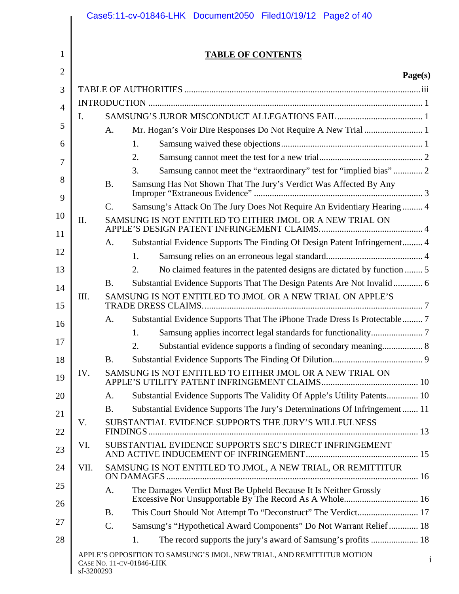|                |            |                 | Case5:11-cv-01846-LHK Document2050 Filed10/19/12 Page2 of 40                                            |
|----------------|------------|-----------------|---------------------------------------------------------------------------------------------------------|
| 1              |            |                 | <b>TABLE OF CONTENTS</b>                                                                                |
| $\overline{2}$ |            |                 | Page(s)                                                                                                 |
| 3              |            |                 |                                                                                                         |
| $\overline{4}$ |            |                 |                                                                                                         |
|                | I.         |                 |                                                                                                         |
| 5              |            | A.              |                                                                                                         |
| 6              |            |                 | 1.                                                                                                      |
| 7              |            |                 | 2.                                                                                                      |
|                |            |                 | Samsung cannot meet the "extraordinary" test for "implied bias"  2<br>3.                                |
| 8<br>9         |            | <b>B.</b>       | Samsung Has Not Shown That The Jury's Verdict Was Affected By Any                                       |
|                |            | $\mathcal{C}$ . | Samsung's Attack On The Jury Does Not Require An Evidentiary Hearing  4                                 |
| 10<br>11       | II.        |                 | SAMSUNG IS NOT ENTITLED TO EITHER JMOL OR A NEW TRIAL ON                                                |
|                |            | A.              | Substantial Evidence Supports The Finding Of Design Patent Infringement 4                               |
| 12             |            |                 | 1.                                                                                                      |
| 13             |            |                 | No claimed features in the patented designs are dictated by function  5<br>2.                           |
| 14             |            | <b>B.</b>       | Substantial Evidence Supports That The Design Patents Are Not Invalid 6                                 |
| 15             | III.       |                 | SAMSUNG IS NOT ENTITLED TO JMOL OR A NEW TRIAL ON APPLE'S                                               |
| 16             |            | A.              | Substantial Evidence Supports That The iPhone Trade Dress Is Protectable 7                              |
|                |            |                 | 1.                                                                                                      |
| 17             |            |                 | 2.<br>Substantial evidence supports a finding of secondary meaning 8                                    |
| 18             |            | <b>B.</b>       |                                                                                                         |
| 19             | IV.        |                 | SAMSUNG IS NOT ENTITLED TO EITHER JMOL OR A NEW TRIAL ON                                                |
| 20             |            | A.              | Substantial Evidence Supports The Validity Of Apple's Utility Patents 10                                |
| 21             |            | <b>B.</b>       | Substantial Evidence Supports The Jury's Determinations Of Infringement 11                              |
| 22             | V.         |                 | SUBSTANTIAL EVIDENCE SUPPORTS THE JURY'S WILLFULNESS                                                    |
| 23             | VI.        |                 | SUBSTANTIAL EVIDENCE SUPPORTS SEC'S DIRECT INFRINGEMENT                                                 |
| 24             | VII.       |                 | SAMSUNG IS NOT ENTITLED TO JMOL, A NEW TRIAL, OR REMITTITUR                                             |
| 25             |            | A.              | The Damages Verdict Must Be Upheld Because It Is Neither Grossly                                        |
| 26             |            | <b>B.</b>       | This Court Should Not Attempt To "Deconstruct" The Verdict 17                                           |
| 27             |            | C.              | Samsung's "Hypothetical Award Components" Do Not Warrant Relief  18                                     |
| 28             |            |                 | The record supports the jury's award of Samsung's profits  18<br>1.                                     |
|                | sf-3200293 |                 | APPLE'S OPPOSITION TO SAMSUNG'S JMOL, NEW TRIAL, AND REMITTITUR MOTION<br>i<br>CASE NO. 11-CV-01846-LHK |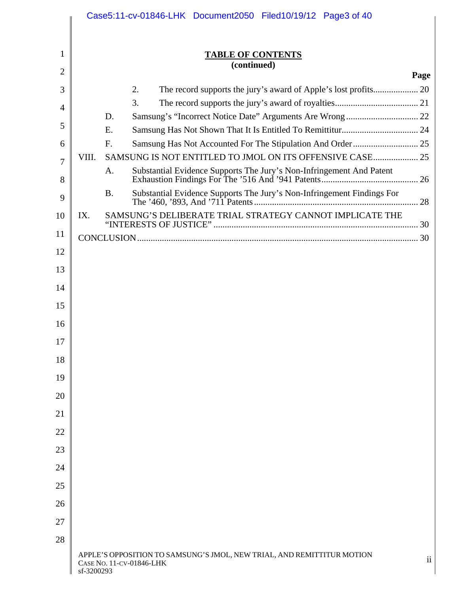|                |            |           | Case5:11-cv-01846-LHK Document2050 Filed10/19/12 Page3 of 40                                       |                         |
|----------------|------------|-----------|----------------------------------------------------------------------------------------------------|-------------------------|
|                |            |           |                                                                                                    |                         |
| 1              |            |           | <b>TABLE OF CONTENTS</b>                                                                           |                         |
| $\overline{2}$ |            |           | (continued)                                                                                        | Page                    |
| 3              |            |           | 2.                                                                                                 |                         |
| 4              |            |           | 3.                                                                                                 |                         |
|                |            | D.        | Samsung's "Incorrect Notice Date" Arguments Are Wrong  22                                          |                         |
| 5              |            | E.        |                                                                                                    |                         |
| 6              |            | F.        |                                                                                                    |                         |
| $\overline{7}$ | VIII.      |           |                                                                                                    |                         |
| 8              |            | A.        | Substantial Evidence Supports The Jury's Non-Infringement And Patent                               |                         |
| 9              |            | <b>B.</b> | Substantial Evidence Supports The Jury's Non-Infringement Findings For                             |                         |
| 10             | IX.        |           | SAMSUNG'S DELIBERATE TRIAL STRATEGY CANNOT IMPLICATE THE                                           |                         |
| 11             |            |           |                                                                                                    |                         |
| 12             |            |           |                                                                                                    |                         |
| 13             |            |           |                                                                                                    |                         |
|                |            |           |                                                                                                    |                         |
| 14             |            |           |                                                                                                    |                         |
| 15             |            |           |                                                                                                    |                         |
| 16             |            |           |                                                                                                    |                         |
| 17             |            |           |                                                                                                    |                         |
| 18             |            |           |                                                                                                    |                         |
| 19             |            |           |                                                                                                    |                         |
| 20             |            |           |                                                                                                    |                         |
| 21             |            |           |                                                                                                    |                         |
| 22             |            |           |                                                                                                    |                         |
| 23             |            |           |                                                                                                    |                         |
| 24             |            |           |                                                                                                    |                         |
| 25             |            |           |                                                                                                    |                         |
| 26             |            |           |                                                                                                    |                         |
| 27             |            |           |                                                                                                    |                         |
| 28             |            |           |                                                                                                    |                         |
|                | sf-3200293 |           | APPLE'S OPPOSITION TO SAMSUNG'S JMOL, NEW TRIAL, AND REMITTITUR MOTION<br>CASE No. 11-CV-01846-LHK | $\overline{\mathbf{u}}$ |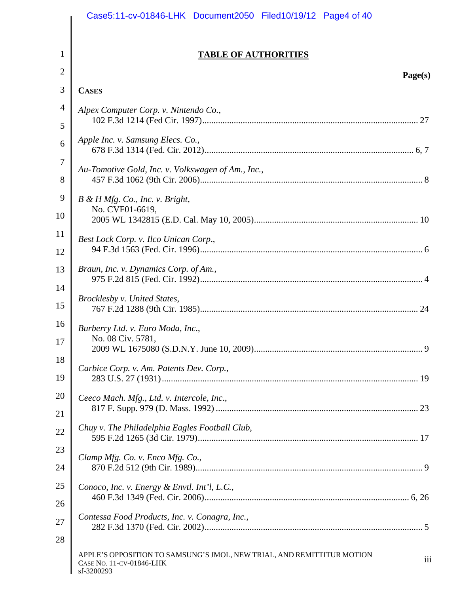|                | Case5:11-cv-01846-LHK Document2050 Filed10/19/12 Page4 of 40                                                            |
|----------------|-------------------------------------------------------------------------------------------------------------------------|
| $\mathbf 1$    | <b>TABLE OF AUTHORITIES</b>                                                                                             |
| $\overline{2}$ |                                                                                                                         |
| 3              | Page(s)<br><b>CASES</b>                                                                                                 |
| $\overline{4}$ |                                                                                                                         |
| 5              | Alpex Computer Corp. v. Nintendo Co.,                                                                                   |
| 6              | Apple Inc. v. Samsung Elecs. Co.,                                                                                       |
| 7<br>8         | Au-Tomotive Gold, Inc. v. Volkswagen of Am., Inc.,                                                                      |
| 9              |                                                                                                                         |
| 10             | $B \& H Mfg.$ Co., Inc. v. Bright,<br>No. CVF01-6619,                                                                   |
| 11             | Best Lock Corp. v. Ilco Unican Corp.,                                                                                   |
| 12             |                                                                                                                         |
| 13             | Braun, Inc. v. Dynamics Corp. of Am.,                                                                                   |
| 14<br>15       | Brocklesby v. United States,                                                                                            |
| 16             | Burberry Ltd. v. Euro Moda, Inc.,                                                                                       |
| 17             | No. 08 Civ. 5781,                                                                                                       |
| 18<br>19       | Carbice Corp. v. Am. Patents Dev. Corp.,                                                                                |
| 20             | Ceeco Mach. Mfg., Ltd. v. Intercole, Inc.,                                                                              |
| 21             |                                                                                                                         |
| 22             | Chuy v. The Philadelphia Eagles Football Club,                                                                          |
| 23             | Clamp Mfg. Co. v. Enco Mfg. Co.,                                                                                        |
| 24             |                                                                                                                         |
| 25             | Conoco, Inc. v. Energy & Envtl. Int'l, L.C.,                                                                            |
| 26             |                                                                                                                         |
| 27             | Contessa Food Products, Inc. v. Conagra, Inc.,                                                                          |
| 28             |                                                                                                                         |
|                | APPLE'S OPPOSITION TO SAMSUNG'S JMOL, NEW TRIAL, AND REMITTITUR MOTION<br>iii<br>CASE NO. 11-CV-01846-LHK<br>sf-3200293 |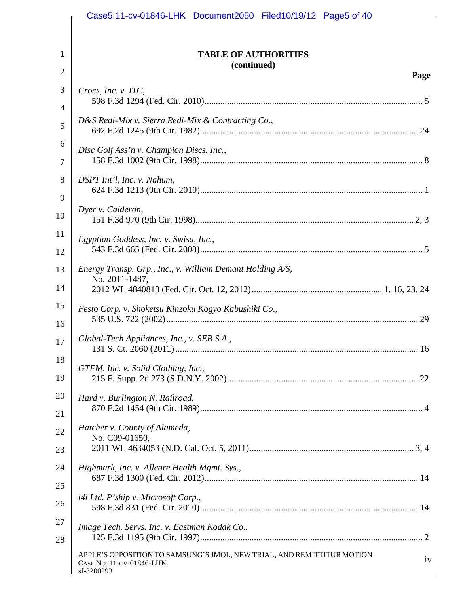|          | Case5:11-cv-01846-LHK Document2050 Filed10/19/12 Page5 of 40                                                           |
|----------|------------------------------------------------------------------------------------------------------------------------|
| 1        | <b>TABLE OF AUTHORITIES</b>                                                                                            |
| 2        | (continued)                                                                                                            |
| 3        | Page                                                                                                                   |
| 4        | Crocs, Inc. v. ITC,                                                                                                    |
| 5        | D&S Redi-Mix v. Sierra Redi-Mix & Contracting Co.,                                                                     |
| 6        |                                                                                                                        |
| 7        | Disc Golf Ass'n v. Champion Discs, Inc.,                                                                               |
| 8<br>9   | DSPT Int'l, Inc. v. Nahum,                                                                                             |
| 10       | Dyer v. Calderon,                                                                                                      |
| 11<br>12 | Egyptian Goddess, Inc. v. Swisa, Inc.,                                                                                 |
| 13       | Energy Transp. Grp., Inc., v. William Demant Holding A/S,<br>No. 2011-1487,                                            |
| 14       |                                                                                                                        |
| 15<br>16 | Festo Corp. v. Shoketsu Kinzoku Kogyo Kabushiki Co.,<br>29                                                             |
| 17       | Global-Tech Appliances, Inc., v. SEB S.A.,                                                                             |
| 18<br>19 | GTFM, Inc. v. Solid Clothing, Inc.,                                                                                    |
| 20       | Hard v. Burlington N. Railroad,                                                                                        |
| 21       |                                                                                                                        |
| 22       | Hatcher v. County of Alameda,<br>No. C09-01650,                                                                        |
| 23       |                                                                                                                        |
| 24       | Highmark, Inc. v. Allcare Health Mgmt. Sys.,                                                                           |
| 25       |                                                                                                                        |
| 26       | i4i Ltd. P'ship v. Microsoft Corp.,                                                                                    |
| 27<br>28 | Image Tech. Servs. Inc. v. Eastman Kodak Co.,                                                                          |
|          | APPLE'S OPPOSITION TO SAMSUNG'S JMOL, NEW TRIAL, AND REMITTITUR MOTION<br>iv<br>CASE No. 11-CV-01846-LHK<br>sf-3200293 |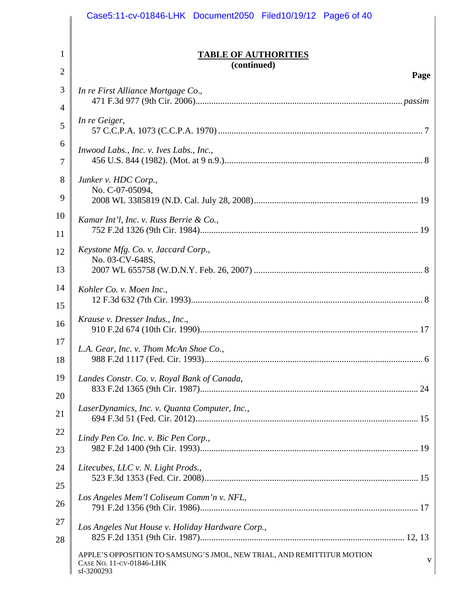|                     | Case5:11-cv-01846-LHK Document2050 Filed10/19/12 Page6 of 40                                                          |
|---------------------|-----------------------------------------------------------------------------------------------------------------------|
|                     |                                                                                                                       |
| 1                   | <b>TABLE OF AUTHORITIES</b><br>(continued)                                                                            |
| $\overline{2}$      | Page                                                                                                                  |
| 3<br>$\overline{4}$ | In re First Alliance Mortgage Co.,                                                                                    |
|                     | In re Geiger,                                                                                                         |
| 5                   |                                                                                                                       |
| 6<br>7              | Inwood Labs., Inc. v. Ives Labs., Inc.,                                                                               |
|                     |                                                                                                                       |
| 8<br>9              | Junker v. HDC Corp.,<br>No. C-07-05094,                                                                               |
| 10                  |                                                                                                                       |
|                     | Kamar Int'l, Inc. v. Russ Berrie & Co.,                                                                               |
| 11<br>12            | Keystone Mfg. Co. v. Jaccard Corp.,                                                                                   |
| 13                  | No. 03-CV-648S,                                                                                                       |
| 14                  | Kohler Co. v. Moen Inc.,                                                                                              |
| 15                  |                                                                                                                       |
| 16                  | Krause v. Dresser Indus., Inc.,                                                                                       |
| 17                  | L.A. Gear, Inc. v. Thom McAn Shoe Co.,                                                                                |
| 18                  |                                                                                                                       |
| 19                  | Landes Constr. Co. v. Royal Bank of Canada,                                                                           |
| 20                  |                                                                                                                       |
| 21                  | LaserDynamics, Inc. v. Quanta Computer, Inc.,                                                                         |
| 22                  | Lindy Pen Co. Inc. v. Bic Pen Corp.,                                                                                  |
| 23                  |                                                                                                                       |
| 24                  | Litecubes, LLC v. N. Light Prods.,                                                                                    |
| 25                  |                                                                                                                       |
| 26                  | Los Angeles Mem'l Coliseum Comm'n v. NFL,                                                                             |
| 27                  | Los Angeles Nut House v. Holiday Hardware Corp.,                                                                      |
| 28                  |                                                                                                                       |
|                     | APPLE'S OPPOSITION TO SAMSUNG'S JMOL, NEW TRIAL, AND REMITTITUR MOTION<br>V<br>CASE No. 11-CV-01846-LHK<br>sf-3200293 |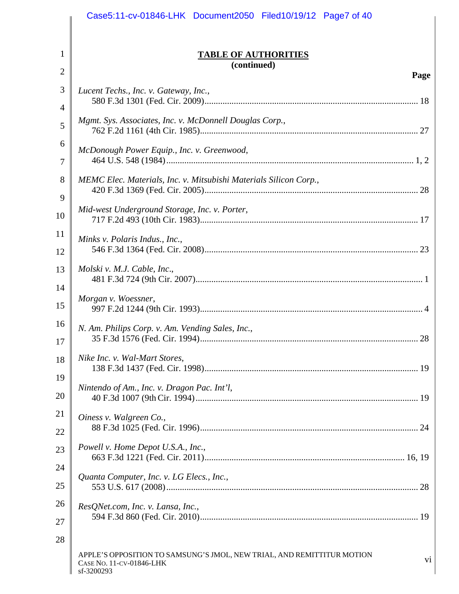|                | Case5:11-cv-01846-LHK Document2050 Filed10/19/12 Page7 of 40                                                                       |
|----------------|------------------------------------------------------------------------------------------------------------------------------------|
|                |                                                                                                                                    |
| $\mathbf 1$    | <b>TABLE OF AUTHORITIES</b><br>(continued)                                                                                         |
| $\overline{2}$ | Page                                                                                                                               |
| 3<br>4         | Lucent Techs., Inc. v. Gateway, Inc.,                                                                                              |
| 5              | Mgmt. Sys. Associates, Inc. v. McDonnell Douglas Corp.,                                                                            |
| 6<br>7         | McDonough Power Equip., Inc. v. Greenwood,                                                                                         |
| 8<br>9         | MEMC Elec. Materials, Inc. v. Mitsubishi Materials Silicon Corp.,                                                                  |
| 10             | Mid-west Underground Storage, Inc. v. Porter,                                                                                      |
| 11<br>12       | Minks v. Polaris Indus., Inc.,                                                                                                     |
| 13             | Molski v. M.J. Cable, Inc.,                                                                                                        |
| 14<br>15       | Morgan v. Woessner,                                                                                                                |
| 16<br>17       | N. Am. Philips Corp. v. Am. Vending Sales, Inc.,                                                                                   |
| 18<br>19       | Nike Inc. v. Wal-Mart Stores,                                                                                                      |
| 20             | Nintendo of Am., Inc. v. Dragon Pac. Int'l,                                                                                        |
| 21<br>22       | Oiness v. Walgreen Co.,                                                                                                            |
| 23             | Powell v. Home Depot U.S.A., Inc.,                                                                                                 |
| 24<br>25       | Quanta Computer, Inc. v. LG Elecs., Inc.,                                                                                          |
| 26<br>27       | ResQNet.com, Inc. v. Lansa, Inc.,                                                                                                  |
| 28             |                                                                                                                                    |
|                | APPLE'S OPPOSITION TO SAMSUNG'S JMOL, NEW TRIAL, AND REMITTITUR MOTION<br>V <sub>1</sub><br>CASE NO. 11-CV-01846-LHK<br>sf-3200293 |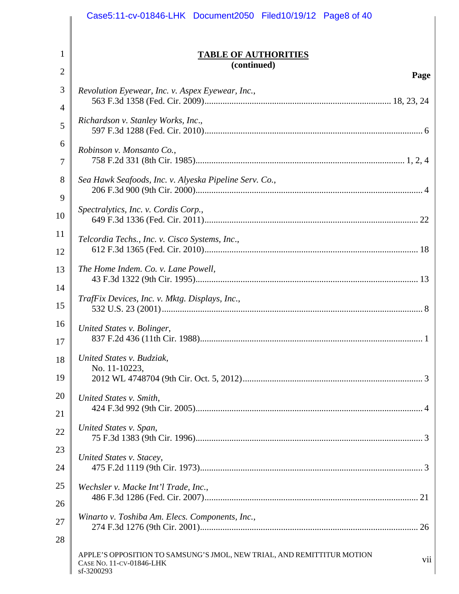|        | Case5:11-cv-01846-LHK Document2050 Filed10/19/12 Page8 of 40                                                            |
|--------|-------------------------------------------------------------------------------------------------------------------------|
|        |                                                                                                                         |
| 1      | <b>TABLE OF AUTHORITIES</b>                                                                                             |
| 2      | (continued)<br>Page                                                                                                     |
| 3      | Revolution Eyewear, Inc. v. Aspex Eyewear, Inc.,                                                                        |
| 4      |                                                                                                                         |
| 5      | Richardson v. Stanley Works, Inc.,                                                                                      |
| 6      | Robinson v. Monsanto Co.,                                                                                               |
| 7      |                                                                                                                         |
| 8<br>9 | Sea Hawk Seafoods, Inc. v. Alyeska Pipeline Serv. Co.,                                                                  |
| 10     | Spectralytics, Inc. v. Cordis Corp.,                                                                                    |
| 11     |                                                                                                                         |
| 12     | Telcordia Techs., Inc. v. Cisco Systems, Inc.,                                                                          |
| 13     | The Home Indem. Co. v. Lane Powell,                                                                                     |
| 14     |                                                                                                                         |
| 15     | TrafFix Devices, Inc. v. Mktg. Displays, Inc.,                                                                          |
| 16     | United States v. Bolinger,                                                                                              |
| 17     |                                                                                                                         |
| 18     | United States v. Budziak,<br>No. 11-10223,                                                                              |
| 19     |                                                                                                                         |
| 20     | United States v. Smith,                                                                                                 |
| 21     |                                                                                                                         |
| 22     | United States v. Span,                                                                                                  |
| 23     | United States v. Stacey,                                                                                                |
| 24     |                                                                                                                         |
| 25     | Wechsler v. Macke Int'l Trade, Inc.,                                                                                    |
| 26     |                                                                                                                         |
| 27     | Winarto v. Toshiba Am. Elecs. Components, Inc.,                                                                         |
| 28     |                                                                                                                         |
|        | APPLE'S OPPOSITION TO SAMSUNG'S JMOL, NEW TRIAL, AND REMITTITUR MOTION<br>vii<br>CASE NO. 11-CV-01846-LHK<br>sf-3200293 |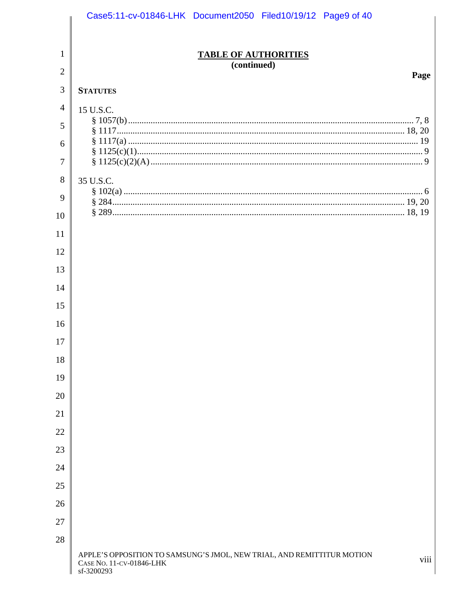|                | Case5:11-cv-01846-LHK Document2050 Filed10/19/12 Page9 of 40                                                     |                             |  |      |
|----------------|------------------------------------------------------------------------------------------------------------------|-----------------------------|--|------|
|                |                                                                                                                  |                             |  |      |
| 1              |                                                                                                                  | <b>TABLE OF AUTHORITIES</b> |  |      |
| $\overline{2}$ |                                                                                                                  | (continued)                 |  | Page |
| 3              | <b>STATUTES</b>                                                                                                  |                             |  |      |
| 4              | 15 U.S.C.                                                                                                        |                             |  |      |
| 5              |                                                                                                                  |                             |  |      |
| 6              |                                                                                                                  |                             |  |      |
| 7              |                                                                                                                  |                             |  |      |
| 8              | 35 U.S.C.                                                                                                        |                             |  |      |
| 9              |                                                                                                                  |                             |  |      |
| 10             |                                                                                                                  |                             |  |      |
| 11             |                                                                                                                  |                             |  |      |
| 12             |                                                                                                                  |                             |  |      |
| 13             |                                                                                                                  |                             |  |      |
| 14             |                                                                                                                  |                             |  |      |
| 15             |                                                                                                                  |                             |  |      |
| 16             |                                                                                                                  |                             |  |      |
| 17             |                                                                                                                  |                             |  |      |
| 18             |                                                                                                                  |                             |  |      |
| 19             |                                                                                                                  |                             |  |      |
| 20             |                                                                                                                  |                             |  |      |
| 21             |                                                                                                                  |                             |  |      |
| 22             |                                                                                                                  |                             |  |      |
| 23             |                                                                                                                  |                             |  |      |
| 24             |                                                                                                                  |                             |  |      |
| 25             |                                                                                                                  |                             |  |      |
| 26             |                                                                                                                  |                             |  |      |
| 27             |                                                                                                                  |                             |  |      |
| 28             |                                                                                                                  |                             |  |      |
|                | APPLE'S OPPOSITION TO SAMSUNG'S JMOL, NEW TRIAL, AND REMITTITUR MOTION<br>CASE NO. 11-CV-01846-LHK<br>sf-3200293 |                             |  | viii |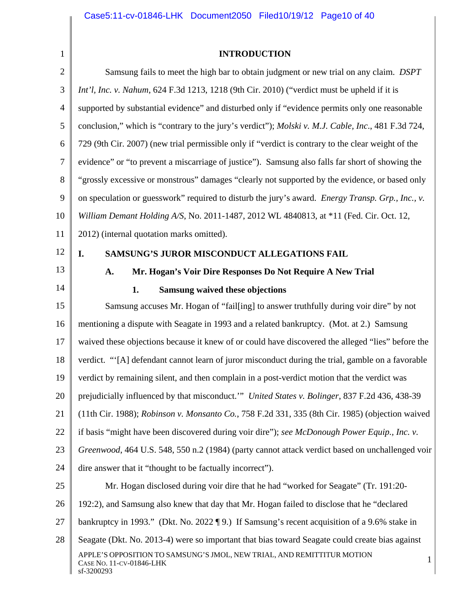1

#### **INTRODUCTION**

2 3 4 5 6 7 8 9 10 11 12 13 14 15 16 17 18 19 20 21 22 23 24 25 Samsung fails to meet the high bar to obtain judgment or new trial on any claim. *DSPT Int'l, Inc. v. Nahum*, 624 F.3d 1213, 1218 (9th Cir. 2010) ("verdict must be upheld if it is supported by substantial evidence" and disturbed only if "evidence permits only one reasonable conclusion," which is "contrary to the jury's verdict"); *Molski v. M.J. Cable, Inc*., 481 F.3d 724, 729 (9th Cir. 2007) (new trial permissible only if "verdict is contrary to the clear weight of the evidence" or "to prevent a miscarriage of justice"). Samsung also falls far short of showing the "grossly excessive or monstrous" damages "clearly not supported by the evidence, or based only on speculation or guesswork" required to disturb the jury's award. *Energy Transp. Grp., Inc., v. William Demant Holding A/S*, No. 2011-1487, 2012 WL 4840813, at \*11 (Fed. Cir. Oct. 12, 2012) (internal quotation marks omitted). **I. SAMSUNG'S JUROR MISCONDUCT ALLEGATIONS FAIL A. Mr. Hogan's Voir Dire Responses Do Not Require A New Trial 1. Samsung waived these objections**  Samsung accuses Mr. Hogan of "fail[ing] to answer truthfully during voir dire" by not mentioning a dispute with Seagate in 1993 and a related bankruptcy. (Mot. at 2.) Samsung waived these objections because it knew of or could have discovered the alleged "lies" before the verdict. "'[A] defendant cannot learn of juror misconduct during the trial, gamble on a favorable verdict by remaining silent, and then complain in a post-verdict motion that the verdict was prejudicially influenced by that misconduct.'" *United States v. Bolinger*, 837 F.2d 436, 438-39 (11th Cir. 1988); *Robinson v. Monsanto Co.*, 758 F.2d 331, 335 (8th Cir. 1985) (objection waived if basis "might have been discovered during voir dire"); *see McDonough Power Equip., Inc. v. Greenwood*, 464 U.S. 548, 550 n.2 (1984) (party cannot attack verdict based on unchallenged voir dire answer that it "thought to be factually incorrect"). Mr. Hogan disclosed during voir dire that he had "worked for Seagate" (Tr. 191:20-

- 26 192:2), and Samsung also knew that day that Mr. Hogan failed to disclose that he "declared
- 27 bankruptcy in 1993." (Dkt. No. 2022 ¶ 9.) If Samsung's recent acquisition of a 9.6% stake in
- 28 APPLE'S OPPOSITION TO SAMSUNG'S JMOL, NEW TRIAL, AND REMITTITUR MOTION CASE NO. 11-CV-01846-LHK 1 sf-3200293 Seagate (Dkt. No. 2013-4) were so important that bias toward Seagate could create bias against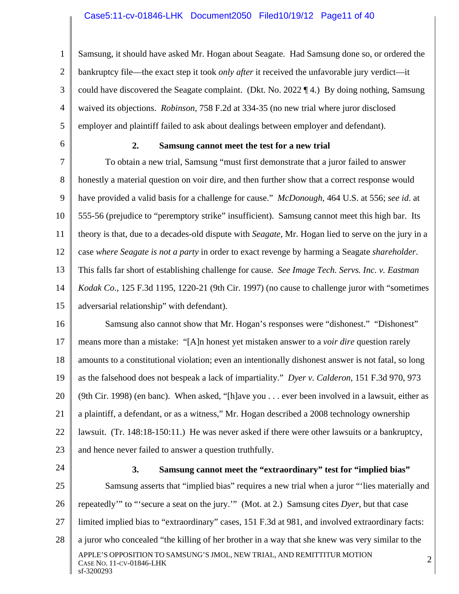#### Case5:11-cv-01846-LHK Document2050 Filed10/19/12 Page11 of 40

1 2 3 4 5 Samsung, it should have asked Mr. Hogan about Seagate. Had Samsung done so, or ordered the bankruptcy file—the exact step it took *only after* it received the unfavorable jury verdict—it could have discovered the Seagate complaint. (Dkt. No. 2022 ¶ 4.) By doing nothing, Samsung waived its objections. *Robinson*, 758 F.2d at 334-35 (no new trial where juror disclosed employer and plaintiff failed to ask about dealings between employer and defendant).

6

#### **2. Samsung cannot meet the test for a new trial**

7 8 9 10 11 12 13 14 15 To obtain a new trial, Samsung "must first demonstrate that a juror failed to answer honestly a material question on voir dire, and then further show that a correct response would have provided a valid basis for a challenge for cause." *McDonough*, 464 U.S. at 556; *see id*. at 555-56 (prejudice to "peremptory strike" insufficient). Samsung cannot meet this high bar. Its theory is that, due to a decades-old dispute with *Seagate*, Mr. Hogan lied to serve on the jury in a case *where Seagate is not a party* in order to exact revenge by harming a Seagate *shareholder*. This falls far short of establishing challenge for cause. *See Image Tech. Servs. Inc. v. Eastman Kodak Co*., 125 F.3d 1195, 1220-21 (9th Cir. 1997) (no cause to challenge juror with "sometimes adversarial relationship" with defendant).

16 17 18 19 20 21 22 23 Samsung also cannot show that Mr. Hogan's responses were "dishonest." "Dishonest" means more than a mistake: "[A]n honest yet mistaken answer to a *voir dire* question rarely amounts to a constitutional violation; even an intentionally dishonest answer is not fatal, so long as the falsehood does not bespeak a lack of impartiality." *Dyer v. Calderon*, 151 F.3d 970, 973 (9th Cir. 1998) (en banc). When asked, "[h]ave you . . . ever been involved in a lawsuit, either as a plaintiff, a defendant, or as a witness," Mr. Hogan described a 2008 technology ownership lawsuit. (Tr. 148:18-150:11.) He was never asked if there were other lawsuits or a bankruptcy, and hence never failed to answer a question truthfully.

24

#### **3. Samsung cannot meet the "extraordinary" test for "implied bias"**

25 26 27 28 APPLE'S OPPOSITION TO SAMSUNG'S JMOL, NEW TRIAL, AND REMITTITUR MOTION 2<br>Case No. 11-cv-01846-LHK sf-3200293 Samsung asserts that "implied bias" requires a new trial when a juror "'lies materially and repeatedly'" to "'secure a seat on the jury.'" (Mot. at 2.) Samsung cites *Dyer*, but that case limited implied bias to "extraordinary" cases, 151 F.3d at 981, and involved extraordinary facts: a juror who concealed "the killing of her brother in a way that she knew was very similar to the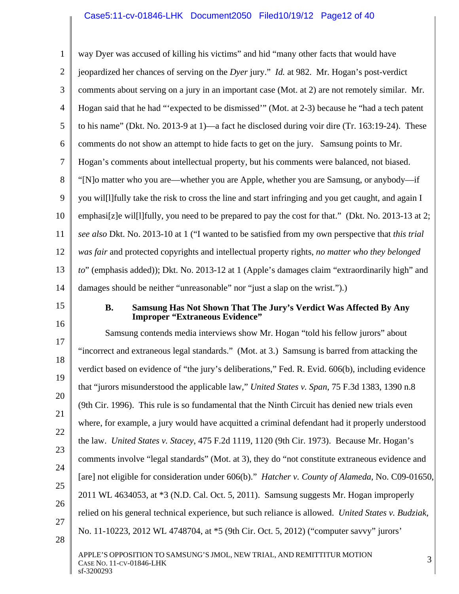# Case5:11-cv-01846-LHK Document2050 Filed10/19/12 Page12 of 40

| $\mathbf{1}$   | way Dyer was accused of killing his victims" and hid "many other facts that would have                                  |
|----------------|-------------------------------------------------------------------------------------------------------------------------|
| $\overline{2}$ | jeopardized her chances of serving on the Dyer jury." Id. at 982. Mr. Hogan's post-verdict                              |
| 3              | comments about serving on a jury in an important case (Mot. at 2) are not remotely similar. Mr.                         |
| $\overline{4}$ | Hogan said that he had "expected to be dismissed" (Mot. at 2-3) because he "had a tech patent                           |
| 5              | to his name" (Dkt. No. 2013-9 at 1)—a fact he disclosed during voir dire (Tr. 163:19-24). These                         |
| 6              | comments do not show an attempt to hide facts to get on the jury. Samsung points to Mr.                                 |
| $\overline{7}$ | Hogan's comments about intellectual property, but his comments were balanced, not biased.                               |
| 8              | "[N]o matter who you are—whether you are Apple, whether you are Samsung, or anybody—if                                  |
| 9              | you will lift ully take the risk to cross the line and start infringing and you get caught, and again I                 |
| 10             | emphasi[z]e wil[1]fully, you need to be prepared to pay the cost for that." (Dkt. No. 2013-13 at 2;                     |
| 11             | see also Dkt. No. 2013-10 at 1 ("I wanted to be satisfied from my own perspective that this trial                       |
| 12             | was fair and protected copyrights and intellectual property rights, no matter who they belonged                         |
| 13             | to" (emphasis added)); Dkt. No. 2013-12 at 1 (Apple's damages claim "extraordinarily high" and                          |
| 14             | damages should be neither "unreasonable" nor "just a slap on the wrist.").)                                             |
| 15             | <b>B.</b><br>Samsung Has Not Shown That The Jury's Verdict Was Affected By Any<br><b>Improper "Extraneous Evidence"</b> |
| 16             | Samsung contends media interviews show Mr. Hogan "told his fellow jurors" about                                         |
| 17             | "incorrect and extraneous legal standards." (Mot. at 3.) Samsung is barred from attacking the                           |
| 18             | verdict based on evidence of "the jury's deliberations," Fed. R. Evid. 606(b), including evidence                       |
| 19             | that "jurors misunderstood the applicable law," United States v. Span, 75 F.3d 1383, 1390 n.8                           |
| 20             | (9th Cir. 1996). This rule is so fundamental that the Ninth Circuit has denied new trials even                          |
| 21             | where, for example, a jury would have acquitted a criminal defendant had it properly understood                         |
| 22             | the law. United States v. Stacey, 475 F.2d 1119, 1120 (9th Cir. 1973). Because Mr. Hogan's                              |
| 23             | comments involve "legal standards" (Mot. at 3), they do "not constitute extraneous evidence and                         |
| 24             | [are] not eligible for consideration under 606(b)." <i>Hatcher v. County of Alameda</i> , No. C09-01650,                |
| 25             | 2011 WL 4634053, at *3 (N.D. Cal. Oct. 5, 2011). Samsung suggests Mr. Hogan improperly                                  |
| 26             | relied on his general technical experience, but such reliance is allowed. United States v. Budziak,                     |
| 27<br>28       | No. 11-10223, 2012 WL 4748704, at *5 (9th Cir. Oct. 5, 2012) ("computer savvy" jurors"                                  |
|                | APPLE'S OPPOSITION TO SAMSUNG'S JMOL, NEW TRIAL, AND REMITTITUR MOTION<br>3<br>CASE NO. 11-CV-01846-LHK<br>sf-3200293   |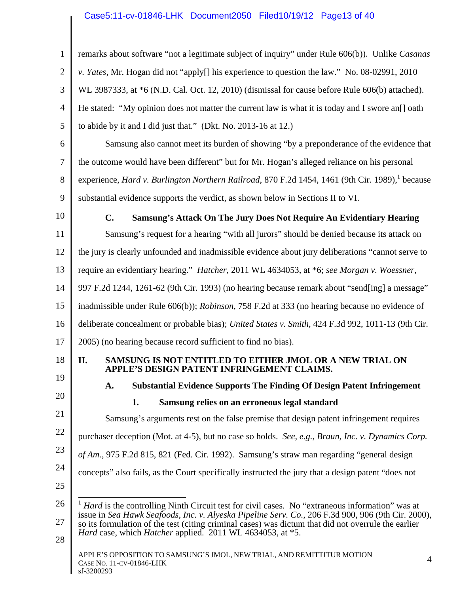# Case5:11-cv-01846-LHK Document2050 Filed10/19/12 Page13 of 40

| 1              | remarks about software "not a legitimate subject of inquiry" under Rule 606(b)). Unlike Casanas                                                                                                                                                                                                                                                                                        |
|----------------|----------------------------------------------------------------------------------------------------------------------------------------------------------------------------------------------------------------------------------------------------------------------------------------------------------------------------------------------------------------------------------------|
| $\overline{2}$ | v. Yates, Mr. Hogan did not "apply[] his experience to question the law." No. 08-02991, 2010                                                                                                                                                                                                                                                                                           |
| 3              | WL 3987333, at *6 (N.D. Cal. Oct. 12, 2010) (dismissal for cause before Rule 606(b) attached).                                                                                                                                                                                                                                                                                         |
| 4              | He stated: "My opinion does not matter the current law is what it is today and I swore and oath                                                                                                                                                                                                                                                                                        |
| 5              | to abide by it and I did just that." (Dkt. No. 2013-16 at 12.)                                                                                                                                                                                                                                                                                                                         |
| 6              | Samsung also cannot meet its burden of showing "by a preponderance of the evidence that                                                                                                                                                                                                                                                                                                |
| 7              | the outcome would have been different" but for Mr. Hogan's alleged reliance on his personal                                                                                                                                                                                                                                                                                            |
| 8              | experience, Hard v. Burlington Northern Railroad, 870 F.2d 1454, 1461 (9th Cir. 1989), <sup>1</sup> because                                                                                                                                                                                                                                                                            |
| 9              | substantial evidence supports the verdict, as shown below in Sections II to VI.                                                                                                                                                                                                                                                                                                        |
| 10             | C.<br>Samsung's Attack On The Jury Does Not Require An Evidentiary Hearing                                                                                                                                                                                                                                                                                                             |
| 11             | Samsung's request for a hearing "with all jurors" should be denied because its attack on                                                                                                                                                                                                                                                                                               |
| 12             | the jury is clearly unfounded and inadmissible evidence about jury deliberations "cannot serve to                                                                                                                                                                                                                                                                                      |
| 13             | require an evidentiary hearing." <i>Hatcher</i> , 2011 WL 4634053, at *6; see Morgan v. Woessner,                                                                                                                                                                                                                                                                                      |
| 14             | 997 F.2d 1244, 1261-62 (9th Cir. 1993) (no hearing because remark about "send[ing] a message"                                                                                                                                                                                                                                                                                          |
| 15             | inadmissible under Rule 606(b)); <i>Robinson</i> , 758 F.2d at 333 (no hearing because no evidence of                                                                                                                                                                                                                                                                                  |
| 16             | deliberate concealment or probable bias); United States v. Smith, 424 F.3d 992, 1011-13 (9th Cir.                                                                                                                                                                                                                                                                                      |
| 17             | 2005) (no hearing because record sufficient to find no bias).                                                                                                                                                                                                                                                                                                                          |
| 18             | SAMSUNG IS NOT ENTITLED TO EITHER JMOL OR A NEW TRIAL ON<br>II.<br>APPLE'S DESIGN PATENT INFRINGEMENT CLAIMS.                                                                                                                                                                                                                                                                          |
| 19             | <b>Substantial Evidence Supports The Finding Of Design Patent Infringement</b><br>A.                                                                                                                                                                                                                                                                                                   |
| 20             | 1.<br>Samsung relies on an erroneous legal standard                                                                                                                                                                                                                                                                                                                                    |
| 21             | Samsung's arguments rest on the false premise that design patent infringement requires                                                                                                                                                                                                                                                                                                 |
| 22             | purchaser deception (Mot. at 4-5), but no case so holds. See, e.g., Braun, Inc. v. Dynamics Corp.                                                                                                                                                                                                                                                                                      |
| 23             | of Am., 975 F.2d 815, 821 (Fed. Cir. 1992). Samsung's straw man regarding "general design                                                                                                                                                                                                                                                                                              |
| 24<br>25       | concepts" also fails, as the Court specifically instructed the jury that a design patent "does not                                                                                                                                                                                                                                                                                     |
| 26<br>27<br>28 | Hard is the controlling Ninth Circuit test for civil cases. No "extraneous information" was at<br>issue in Sea Hawk Seafoods, Inc. v. Alyeska Pipeline Serv. Co., 206 F.3d 900, 906 (9th Cir. 2000),<br>so its formulation of the test (citing criminal cases) was dictum that did not overrule the earlier<br><i>Hard</i> case, which <i>Hatcher</i> applied. 2011 WL 4634053, at *5. |
|                | APPLE'S OPPOSITION TO SAMSUNG'S JMOL, NEW TRIAL, AND REMITTITUR MOTION<br>$\overline{4}$<br>CASE NO. 11-CV-01846-LHK                                                                                                                                                                                                                                                                   |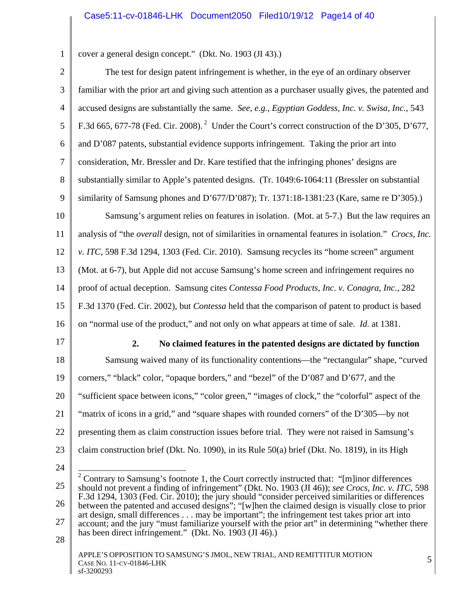## Case5:11-cv-01846-LHK Document2050 Filed10/19/12 Page14 of 40

cover a general design concept." (Dkt. No. 1903 (JI 43).)

1

| $\overline{2}$                                                             | The test for design patent infringement is whether, in the eye of an ordinary observer                                                                                                                         |
|----------------------------------------------------------------------------|----------------------------------------------------------------------------------------------------------------------------------------------------------------------------------------------------------------|
| 3                                                                          | familiar with the prior art and giving such attention as a purchaser usually gives, the patented and                                                                                                           |
| $\overline{4}$                                                             | accused designs are substantially the same. See, e.g., Egyptian Goddess, Inc. v. Swisa, Inc., 543                                                                                                              |
| 5                                                                          | F.3d 665, 677-78 (Fed. Cir. 2008). <sup>2</sup> Under the Court's correct construction of the D'305, D'677,                                                                                                    |
| 6                                                                          | and D'087 patents, substantial evidence supports infringement. Taking the prior art into                                                                                                                       |
| 7                                                                          | consideration, Mr. Bressler and Dr. Kare testified that the infringing phones' designs are                                                                                                                     |
| 8                                                                          | substantially similar to Apple's patented designs. (Tr. 1049:6-1064:11 (Bressler on substantial                                                                                                                |
| 9                                                                          | similarity of Samsung phones and D'677/D'087); Tr. 1371:18-1381:23 (Kare, same re D'305).)                                                                                                                     |
| 10                                                                         | Samsung's argument relies on features in isolation. (Mot. at 5-7.) But the law requires an                                                                                                                     |
| 11                                                                         | analysis of "the <i>overall</i> design, not of similarities in ornamental features in isolation." Crocs, Inc.                                                                                                  |
| 12                                                                         | v. ITC, 598 F.3d 1294, 1303 (Fed. Cir. 2010). Samsung recycles its "home screen" argument                                                                                                                      |
| 13                                                                         | (Mot. at 6-7), but Apple did not accuse Samsung's home screen and infringement requires no                                                                                                                     |
| 14                                                                         | proof of actual deception. Samsung cites Contessa Food Products, Inc. v. Conagra, Inc., 282                                                                                                                    |
|                                                                            | F.3d 1370 (Fed. Cir. 2002), but <i>Contessa</i> held that the comparison of patent to product is based                                                                                                         |
|                                                                            |                                                                                                                                                                                                                |
|                                                                            | on "normal use of the product," and not only on what appears at time of sale. <i>Id.</i> at 1381.                                                                                                              |
|                                                                            | 2.<br>No claimed features in the patented designs are dictated by function                                                                                                                                     |
|                                                                            | Samsung waived many of its functionality contentions-the "rectangular" shape, "curved                                                                                                                          |
|                                                                            | corners," "black" color, "opaque borders," and "bezel" of the D'087 and D'677, and the                                                                                                                         |
|                                                                            | "sufficient space between icons," "color green," "images of clock," the "colorful" aspect of the                                                                                                               |
|                                                                            | "matrix of icons in a grid," and "square shapes with rounded corners" of the D'305—by not                                                                                                                      |
|                                                                            | presenting them as claim construction issues before trial. They were not raised in Samsung's                                                                                                                   |
|                                                                            | claim construction brief (Dkt. No. 1090), in its Rule 50(a) brief (Dkt. No. 1819), in its High                                                                                                                 |
|                                                                            |                                                                                                                                                                                                                |
|                                                                            | <sup>2</sup> Contrary to Samsung's footnote 1, the Court correctly instructed that: "[m]inor differences<br>should not prevent a finding of infringement" (Dkt. No. 1903 (JI 46)); see Crocs, Inc. v. ITC, 598 |
|                                                                            | F.3d 1294, 1303 (Fed. Cir. 2010); the jury should "consider perceived similarities or differences<br>between the patented and accused designs"; "[w]hen the claimed design is visually close to prior          |
| 15<br>16<br>17<br>18<br>19<br>20<br>21<br>22<br>23<br>24<br>25<br>26<br>27 | art design, small differences may be important"; the infringement test takes prior art into<br>account; and the jury "must familiarize yourself with the prior art" in determining "whether there              |
| 28                                                                         | has been direct infringement." (Dkt. No. 1903 (JI 46).)                                                                                                                                                        |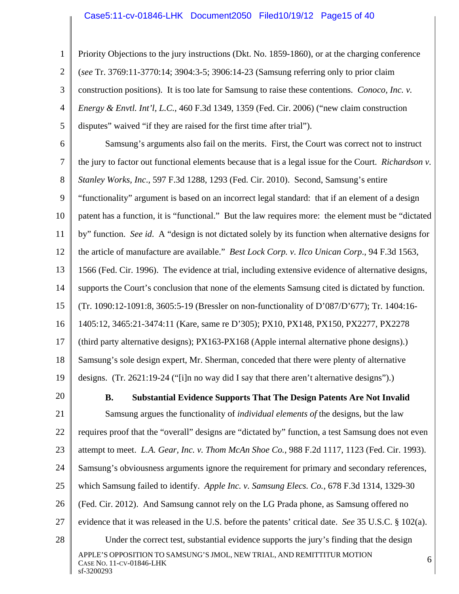#### Case5:11-cv-01846-LHK Document2050 Filed10/19/12 Page15 of 40

1 2 3 4 5 Priority Objections to the jury instructions (Dkt. No. 1859-1860), or at the charging conference (*see* Tr. 3769:11-3770:14; 3904:3-5; 3906:14-23 (Samsung referring only to prior claim construction positions). It is too late for Samsung to raise these contentions. *Conoco, Inc. v. Energy & Envtl. Int'l, L.C.*, 460 F.3d 1349, 1359 (Fed. Cir. 2006) ("new claim construction disputes" waived "if they are raised for the first time after trial").

6 7 8 9 10 11 12 13 14 15 16 17 18 19 Samsung's arguments also fail on the merits. First, the Court was correct not to instruct the jury to factor out functional elements because that is a legal issue for the Court. *Richardson v. Stanley Works, Inc*., 597 F.3d 1288, 1293 (Fed. Cir. 2010). Second, Samsung's entire "functionality" argument is based on an incorrect legal standard: that if an element of a design patent has a function, it is "functional." But the law requires more: the element must be "dictated by" function. *See id*. A "design is not dictated solely by its function when alternative designs for the article of manufacture are available." *Best Lock Corp. v. Ilco Unican Corp*., 94 F.3d 1563, 1566 (Fed. Cir. 1996). The evidence at trial, including extensive evidence of alternative designs, supports the Court's conclusion that none of the elements Samsung cited is dictated by function. (Tr. 1090:12-1091:8, 3605:5-19 (Bressler on non-functionality of D'087/D'677); Tr. 1404:16- 1405:12, 3465:21-3474:11 (Kare, same re D'305); PX10, PX148, PX150, PX2277, PX2278 (third party alternative designs); PX163-PX168 (Apple internal alternative phone designs).) Samsung's sole design expert, Mr. Sherman, conceded that there were plenty of alternative designs. (Tr. 2621:19-24 ("[i]n no way did I say that there aren't alternative designs").)

20

#### **B. Substantial Evidence Supports That The Design Patents Are Not Invalid**

21 22 23 24 25 26 27 28 APPLE'S OPPOSITION TO SAMSUNG'S JMOL, NEW TRIAL, AND REMITTITUR MOTION 6<br>Case No. 11-cv-01846-LHK Samsung argues the functionality of *individual elements of* the designs, but the law requires proof that the "overall" designs are "dictated by" function, a test Samsung does not even attempt to meet. *L.A. Gear, Inc. v. Thom McAn Shoe Co.*, 988 F.2d 1117, 1123 (Fed. Cir. 1993). Samsung's obviousness arguments ignore the requirement for primary and secondary references, which Samsung failed to identify. *Apple Inc. v. Samsung Elecs. Co.*, 678 F.3d 1314, 1329-30 (Fed. Cir. 2012). And Samsung cannot rely on the LG Prada phone, as Samsung offered no evidence that it was released in the U.S. before the patents' critical date. *See* 35 U.S.C. § 102(a). Under the correct test, substantial evidence supports the jury's finding that the design

sf-3200293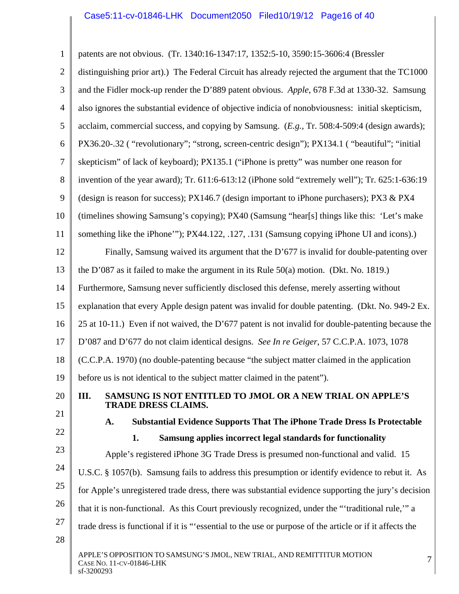# Case5:11-cv-01846-LHK Document2050 Filed10/19/12 Page16 of 40

| $\mathbf{1}$   | patents are not obvious. (Tr. 1340:16-1347:17, 1352:5-10, 3590:15-3606:4 (Bressler                                    |  |  |  |  |  |  |
|----------------|-----------------------------------------------------------------------------------------------------------------------|--|--|--|--|--|--|
| $\overline{2}$ | distinguishing prior art).) The Federal Circuit has already rejected the argument that the TC1000                     |  |  |  |  |  |  |
| 3              | and the Fidler mock-up render the D'889 patent obvious. Apple, 678 F.3d at 1330-32. Samsung                           |  |  |  |  |  |  |
| 4              | also ignores the substantial evidence of objective indicia of nonobviousness: initial skepticism,                     |  |  |  |  |  |  |
| 5              | acclaim, commercial success, and copying by Samsung. (E.g., Tr. 508:4-509:4 (design awards);                          |  |  |  |  |  |  |
| 6              | PX36.20-.32 ("revolutionary"; "strong, screen-centric design"); PX134.1 ("beautiful"; "initial"                       |  |  |  |  |  |  |
| 7              | skepticism" of lack of keyboard); PX135.1 ("iPhone is pretty" was number one reason for                               |  |  |  |  |  |  |
| 8              | invention of the year award); Tr. 611:6-613:12 (iPhone sold "extremely well"); Tr. 625:1-636:19                       |  |  |  |  |  |  |
| 9              | (design is reason for success); PX146.7 (design important to iPhone purchasers); PX3 & PX4                            |  |  |  |  |  |  |
| 10             | (timelines showing Samsung's copying); PX40 (Samsung "hear[s] things like this: 'Let's make                           |  |  |  |  |  |  |
| 11             | something like the iPhone"'); PX44.122, .127, .131 (Samsung copying iPhone UI and icons).)                            |  |  |  |  |  |  |
| 12             | Finally, Samsung waived its argument that the D'677 is invalid for double-patenting over                              |  |  |  |  |  |  |
| 13             | the D'087 as it failed to make the argument in its Rule $50(a)$ motion. (Dkt. No. 1819.)                              |  |  |  |  |  |  |
| 14             | Furthermore, Samsung never sufficiently disclosed this defense, merely asserting without                              |  |  |  |  |  |  |
| 15             | explanation that every Apple design patent was invalid for double patenting. (Dkt. No. 949-2 Ex.                      |  |  |  |  |  |  |
| 16             | 25 at 10-11.) Even if not waived, the D'677 patent is not invalid for double-patenting because the                    |  |  |  |  |  |  |
| 17             | D'087 and D'677 do not claim identical designs. See In re Geiger, 57 C.C.P.A. 1073, 1078                              |  |  |  |  |  |  |
| 18             | (C.C.P.A. 1970) (no double-patenting because "the subject matter claimed in the application                           |  |  |  |  |  |  |
| 19             | before us is not identical to the subject matter claimed in the patent").                                             |  |  |  |  |  |  |
| 20             | SAMSUNG IS NOT ENTITLED TO JMOL OR A NEW TRIAL ON APPLE'S<br>III.<br><b>TRADE DRESS CLAIMS.</b>                       |  |  |  |  |  |  |
| 21             | <b>Substantial Evidence Supports That The iPhone Trade Dress Is Protectable</b><br>A.                                 |  |  |  |  |  |  |
| 22<br>23       | Samsung applies incorrect legal standards for functionality<br>1.                                                     |  |  |  |  |  |  |
|                | Apple's registered iPhone 3G Trade Dress is presumed non-functional and valid. 15                                     |  |  |  |  |  |  |
| 24             | U.S.C. § 1057(b). Samsung fails to address this presumption or identify evidence to rebut it. As                      |  |  |  |  |  |  |
| 25             | for Apple's unregistered trade dress, there was substantial evidence supporting the jury's decision                   |  |  |  |  |  |  |
| 26             | that it is non-functional. As this Court previously recognized, under the "'traditional rule," a                      |  |  |  |  |  |  |
| 27<br>28       | trade dress is functional if it is "essential to the use or purpose of the article or if it affects the               |  |  |  |  |  |  |
|                | APPLE'S OPPOSITION TO SAMSUNG'S JMOL, NEW TRIAL, AND REMITTITUR MOTION<br>7<br>CASE NO. 11-CV-01846-LHK<br>sf-3200293 |  |  |  |  |  |  |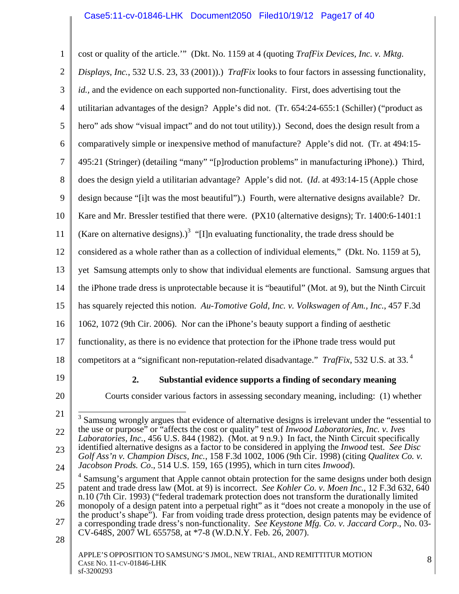| $\mathbf{1}$   | cost or quality of the article." (Dkt. No. 1159 at 4 (quoting TrafFix Devices, Inc. v. Mktg.                                                                                                                       |
|----------------|--------------------------------------------------------------------------------------------------------------------------------------------------------------------------------------------------------------------|
| $\overline{2}$ | Displays, Inc., 532 U.S. 23, 33 (2001)).) TrafFix looks to four factors in assessing functionality,                                                                                                                |
| $\mathfrak{Z}$ | id., and the evidence on each supported non-functionality. First, does advertising tout the                                                                                                                        |
| $\overline{4}$ | utilitarian advantages of the design? Apple's did not. (Tr. 654:24-655:1 (Schiller) ("product as                                                                                                                   |
| 5              | hero" ads show "visual impact" and do not tout utility).) Second, does the design result from a                                                                                                                    |
| 6              | comparatively simple or inexpensive method of manufacture? Apple's did not. (Tr. at 494:15-                                                                                                                        |
| $\tau$         | 495:21 (Stringer) (detailing "many" "[p]roduction problems" in manufacturing iPhone).) Third,                                                                                                                      |
| 8              | does the design yield a utilitarian advantage? Apple's did not. (Id. at 493:14-15 (Apple chose                                                                                                                     |
| 9              | design because "[i]t was the most beautiful").) Fourth, were alternative designs available? Dr.                                                                                                                    |
| 10             | Kare and Mr. Bressler testified that there were. (PX10 (alternative designs); Tr. 1400:6-1401:1                                                                                                                    |
| 11             | (Kare on alternative designs).) <sup>3</sup> "[I]n evaluating functionality, the trade dress should be                                                                                                             |
| 12             | considered as a whole rather than as a collection of individual elements," (Dkt. No. 1159 at 5),                                                                                                                   |
| 13             | yet Samsung attempts only to show that individual elements are functional. Samsung argues that                                                                                                                     |
| 14             | the iPhone trade dress is unprotectable because it is "beautiful" (Mot. at 9), but the Ninth Circuit                                                                                                               |
| 15             | has squarely rejected this notion. Au-Tomotive Gold, Inc. v. Volkswagen of Am., Inc., 457 F.3d                                                                                                                     |
| 16             | 1062, 1072 (9th Cir. 2006). Nor can the iPhone's beauty support a finding of aesthetic                                                                                                                             |
| 17             | functionality, as there is no evidence that protection for the iPhone trade tress would put                                                                                                                        |
| 18             | competitors at a "significant non-reputation-related disadvantage." TrafFix, 532 U.S. at 33. <sup>4</sup>                                                                                                          |
| 19             | 2. Substantial evidence supports a finding of secondary meaning                                                                                                                                                    |
| 20             | Courts consider various factors in assessing secondary meaning, including: (1) whether                                                                                                                             |
| 21             | Samsung wrongly argues that evidence of alternative designs is irrelevant under the "essential to                                                                                                                  |
| 22             | the use or purpose" or "affects the cost or quality" test of <i>Inwood Laboratories</i> , <i>Inc. v. Ives</i><br>Laboratories, Inc., 456 U.S. 844 (1982). (Mot. at 9 n.9.) In fact, the Ninth Circuit specifically |
| 23             | identified alternative designs as a factor to be considered in applying the <i>Inwood</i> test. See Disc<br>Golf Ass'n v. Champion Discs, Inc., 158 F.3d 1002, 1006 (9th Cir. 1998) (citing Qualitex Co. v.        |
| 24             | Jacobson Prods. Co., 514 U.S. 159, 165 (1995), which in turn cites Inwood).<br>Samsung's argument that Apple cannot obtain protection for the same designs under both design                                       |
| 25             | patent and trade dress law (Mot. at 9) is incorrect. See Kohler Co. v. Moen Inc., 12 F.3d 632, 640<br>n.10 (7th Cir. 1993) ("federal trademark protection does not transform the durationally limited              |
| 26             | monopoly of a design patent into a perpetual right" as it "does not create a monopoly in the use of<br>the product's shape"). Far from voiding trade dress protection, design patents may be evidence of           |
| 27             | a corresponding trade dress's non-functionality. See Keystone Mfg. Co. v. Jaccard Corp., No. 03-<br>CV-648S, 2007 WL 655758, at *7-8 (W.D.N.Y. Feb. 26, 2007).                                                     |
| 28             |                                                                                                                                                                                                                    |
|                | APPLE'S OPPOSITION TO SAMSUNG'S JMOL, NEW TRIAL, AND REMITTITUR MOTION<br>8<br>CASE NO. 11-CV-01846-LHK<br>sf-3200293                                                                                              |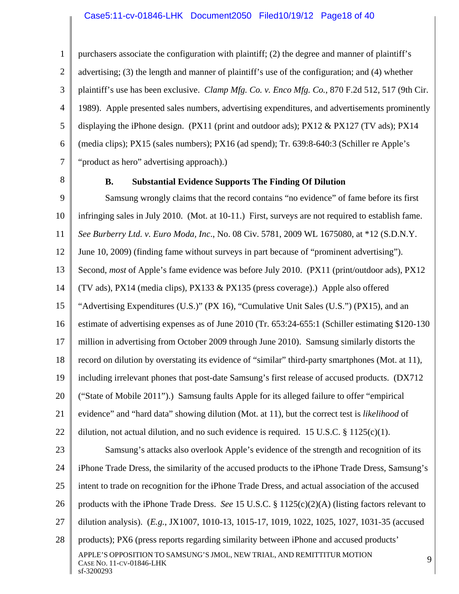1 2 3 4 5 6 7 purchasers associate the configuration with plaintiff; (2) the degree and manner of plaintiff's advertising; (3) the length and manner of plaintiff's use of the configuration; and (4) whether plaintiff's use has been exclusive. *Clamp Mfg. Co. v. Enco Mfg. Co.*, 870 F.2d 512, 517 (9th Cir. 1989). Apple presented sales numbers, advertising expenditures, and advertisements prominently displaying the iPhone design. (PX11 (print and outdoor ads); PX12 & PX127 (TV ads); PX14 (media clips); PX15 (sales numbers); PX16 (ad spend); Tr. 639:8-640:3 (Schiller re Apple's "product as hero" advertising approach).)

8

#### **B. Substantial Evidence Supports The Finding Of Dilution**

9 10 11 12 13 14 15 16 17 18 19 20 21 22 23 24 25 26 27 28 APPLE'S OPPOSITION TO SAMSUNG'S JMOL, NEW TRIAL, AND REMITTITUR MOTION 99<br>Case No. 11-cv-01846-LHK sf-3200293 Samsung wrongly claims that the record contains "no evidence" of fame before its first infringing sales in July 2010. (Mot. at 10-11.) First, surveys are not required to establish fame. *See Burberry Ltd. v. Euro Moda, Inc*., No. 08 Civ. 5781, 2009 WL 1675080, at \*12 (S.D.N.Y. June 10, 2009) (finding fame without surveys in part because of "prominent advertising"). Second, *most* of Apple's fame evidence was before July 2010. (PX11 (print/outdoor ads), PX12 (TV ads), PX14 (media clips), PX133 & PX135 (press coverage).) Apple also offered "Advertising Expenditures (U.S.)" (PX 16), "Cumulative Unit Sales (U.S.") (PX15), and an estimate of advertising expenses as of June 2010 (Tr. 653:24-655:1 (Schiller estimating \$120-130 million in advertising from October 2009 through June 2010). Samsung similarly distorts the record on dilution by overstating its evidence of "similar" third-party smartphones (Mot. at 11), including irrelevant phones that post-date Samsung's first release of accused products. (DX712 ("State of Mobile 2011").) Samsung faults Apple for its alleged failure to offer "empirical evidence" and "hard data" showing dilution (Mot. at 11), but the correct test is *likelihood* of dilution, not actual dilution, and no such evidence is required. 15 U.S.C. § 1125(c)(1). Samsung's attacks also overlook Apple's evidence of the strength and recognition of its iPhone Trade Dress, the similarity of the accused products to the iPhone Trade Dress, Samsung's intent to trade on recognition for the iPhone Trade Dress, and actual association of the accused products with the iPhone Trade Dress. *See* 15 U.S.C. § 1125(c)(2)(A) (listing factors relevant to dilution analysis). (*E.g.*, JX1007, 1010-13, 1015-17, 1019, 1022, 1025, 1027, 1031-35 (accused products); PX6 (press reports regarding similarity between iPhone and accused products'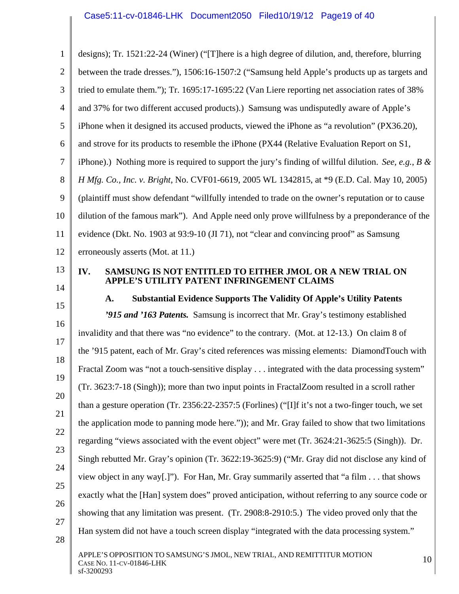| $\mathbf{1}$   | designs); Tr. 1521:22-24 (Winer) ("[T]here is a high degree of dilution, and, therefore, blurring             |  |  |  |  |  |  |
|----------------|---------------------------------------------------------------------------------------------------------------|--|--|--|--|--|--|
| $\overline{2}$ | between the trade dresses."), 1506:16-1507:2 ("Samsung held Apple's products up as targets and                |  |  |  |  |  |  |
| 3              | tried to emulate them."); Tr. 1695:17-1695:22 (Van Liere reporting net association rates of 38%               |  |  |  |  |  |  |
| $\overline{4}$ | and 37% for two different accused products).) Samsung was undisputedly aware of Apple's                       |  |  |  |  |  |  |
| 5              | iPhone when it designed its accused products, viewed the iPhone as "a revolution" (PX36.20),                  |  |  |  |  |  |  |
| 6              | and strove for its products to resemble the iPhone (PX44 (Relative Evaluation Report on S1,                   |  |  |  |  |  |  |
| 7              | iPhone).) Nothing more is required to support the jury's finding of willful dilution. See, e.g., $B \&$       |  |  |  |  |  |  |
| 8              | H Mfg. Co., Inc. v. Bright, No. CVF01-6619, 2005 WL 1342815, at *9 (E.D. Cal. May 10, 2005)                   |  |  |  |  |  |  |
| 9              | (plaintiff must show defendant "willfully intended to trade on the owner's reputation or to cause             |  |  |  |  |  |  |
| 10             | dilution of the famous mark"). And Apple need only prove willfulness by a preponderance of the                |  |  |  |  |  |  |
| 11             | evidence (Dkt. No. 1903 at 93:9-10 (JI 71), not "clear and convincing proof" as Samsung                       |  |  |  |  |  |  |
| 12             | erroneously asserts (Mot. at 11.)                                                                             |  |  |  |  |  |  |
| 13             | SAMSUNG IS NOT ENTITLED TO EITHER JMOL OR A NEW TRIAL ON<br>IV.<br>APPLE'S UTILITY PATENT INFRINGEMENT CLAIMS |  |  |  |  |  |  |
| 14             | <b>Substantial Evidence Supports The Validity Of Apple's Utility Patents</b><br>A.                            |  |  |  |  |  |  |
| 15             | <b>2915 and 2163 Patents.</b> Samsung is incorrect that Mr. Gray's testimony established                      |  |  |  |  |  |  |
| 16             | invalidity and that there was "no evidence" to the contrary. (Mot. at 12-13.) On claim 8 of                   |  |  |  |  |  |  |
| 17<br>18       | the '915 patent, each of Mr. Gray's cited references was missing elements: DiamondTouch with                  |  |  |  |  |  |  |
| 19             | Fractal Zoom was "not a touch-sensitive display integrated with the data processing system"                   |  |  |  |  |  |  |
| 20             | (Tr. 3623:7-18 (Singh)); more than two input points in Fractal Zoom resulted in a scroll rather               |  |  |  |  |  |  |
| 21             | than a gesture operation (Tr. 2356:22-2357:5 (Forlines) ("I]f it's not a two-finger touch, we set             |  |  |  |  |  |  |
| 22             | the application mode to panning mode here.")); and Mr. Gray failed to show that two limitations               |  |  |  |  |  |  |
| 23             | regarding "views associated with the event object" were met (Tr. 3624:21-3625:5 (Singh)). Dr.                 |  |  |  |  |  |  |
| 24             | Singh rebutted Mr. Gray's opinion (Tr. 3622:19-3625:9) ("Mr. Gray did not disclose any kind of                |  |  |  |  |  |  |
| 25             | view object in any way[.]"). For Han, Mr. Gray summarily asserted that "a film that shows                     |  |  |  |  |  |  |
| 26             | exactly what the [Han] system does" proved anticipation, without referring to any source code or              |  |  |  |  |  |  |
| 27             | showing that any limitation was present. (Tr. 2908:8-2910:5.) The video proved only that the                  |  |  |  |  |  |  |
| 28             |                                                                                                               |  |  |  |  |  |  |
|                | Han system did not have a touch screen display "integrated with the data processing system."                  |  |  |  |  |  |  |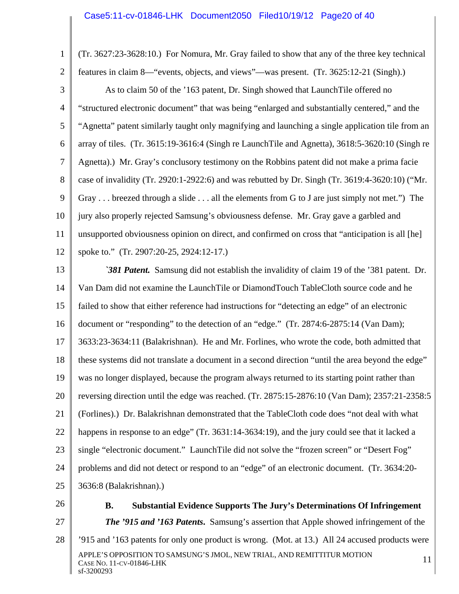1 2 3 4 5 6 7 8 9 10 11 12 13 14 15 16 17 18 19 20 21 22 23 24 25 26 (Tr. 3627:23-3628:10.) For Nomura, Mr. Gray failed to show that any of the three key technical features in claim 8—"events, objects, and views"—was present. (Tr. 3625:12-21 (Singh).) As to claim 50 of the '163 patent, Dr. Singh showed that LaunchTile offered no "structured electronic document" that was being "enlarged and substantially centered," and the "Agnetta" patent similarly taught only magnifying and launching a single application tile from an array of tiles. (Tr. 3615:19-3616:4 (Singh re LaunchTile and Agnetta), 3618:5-3620:10 (Singh re Agnetta).) Mr. Gray's conclusory testimony on the Robbins patent did not make a prima facie case of invalidity (Tr. 2920:1-2922:6) and was rebutted by Dr. Singh (Tr. 3619:4-3620:10) ("Mr. Gray . . . breezed through a slide . . . all the elements from G to J are just simply not met.") The jury also properly rejected Samsung's obviousness defense. Mr. Gray gave a garbled and unsupported obviousness opinion on direct, and confirmed on cross that "anticipation is all [he] spoke to." (Tr. 2907:20-25, 2924:12-17.) *`381 Patent.* Samsung did not establish the invalidity of claim 19 of the '381 patent. Dr. Van Dam did not examine the LaunchTile or DiamondTouch TableCloth source code and he failed to show that either reference had instructions for "detecting an edge" of an electronic document or "responding" to the detection of an "edge." (Tr. 2874:6-2875:14 (Van Dam); 3633:23-3634:11 (Balakrishnan). He and Mr. Forlines, who wrote the code, both admitted that these systems did not translate a document in a second direction "until the area beyond the edge" was no longer displayed, because the program always returned to its starting point rather than reversing direction until the edge was reached. (Tr. 2875:15-2876:10 (Van Dam); 2357:21-2358:5 (Forlines).) Dr. Balakrishnan demonstrated that the TableCloth code does "not deal with what happens in response to an edge" (Tr. 3631:14-3634:19), and the jury could see that it lacked a single "electronic document." LaunchTile did not solve the "frozen screen" or "Desert Fog" problems and did not detect or respond to an "edge" of an electronic document. (Tr. 3634:20- 3636:8 (Balakrishnan).)

27

**B. Substantial Evidence Supports The Jury's Determinations Of Infringement** 

*The '915 and '163 Patents***.** Samsung's assertion that Apple showed infringement of the

28 APPLE'S OPPOSITION TO SAMSUNG'S JMOL, NEW TRIAL, AND REMITTITUR MOTION  $11$ sf-3200293 '915 and '163 patents for only one product is wrong. (Mot. at 13.) All 24 accused products were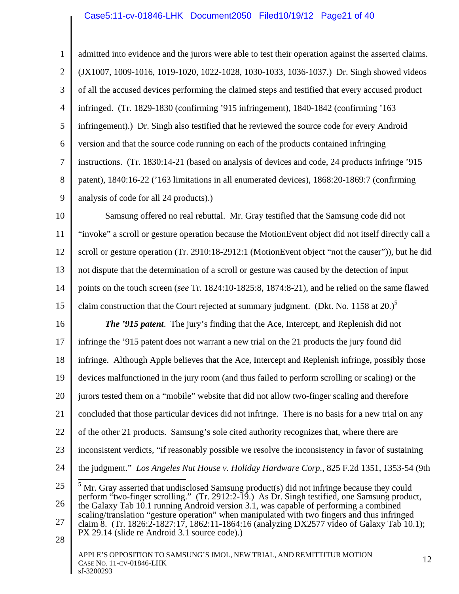1 2 3 4 5 6 7 8 9 admitted into evidence and the jurors were able to test their operation against the asserted claims. (JX1007, 1009-1016, 1019-1020, 1022-1028, 1030-1033, 1036-1037.) Dr. Singh showed videos of all the accused devices performing the claimed steps and testified that every accused product infringed. (Tr. 1829-1830 (confirming '915 infringement), 1840-1842 (confirming '163 infringement).) Dr. Singh also testified that he reviewed the source code for every Android version and that the source code running on each of the products contained infringing instructions. (Tr. 1830:14-21 (based on analysis of devices and code, 24 products infringe '915 patent), 1840:16-22 ('163 limitations in all enumerated devices), 1868:20-1869:7 (confirming analysis of code for all 24 products).)

10 11 12 13 14 15 Samsung offered no real rebuttal. Mr. Gray testified that the Samsung code did not "invoke" a scroll or gesture operation because the MotionEvent object did not itself directly call a scroll or gesture operation (Tr. 2910:18-2912:1 (MotionEvent object "not the causer")), but he did not dispute that the determination of a scroll or gesture was caused by the detection of input points on the touch screen (*see* Tr. 1824:10-1825:8, 1874:8-21), and he relied on the same flawed claim construction that the Court rejected at summary judgment. (Dkt. No. 1158 at  $20.$ )<sup>5</sup>

16 17 18 19 20 21 22 23 24 *The '915 patent*. The jury's finding that the Ace, Intercept, and Replenish did not infringe the '915 patent does not warrant a new trial on the 21 products the jury found did infringe. Although Apple believes that the Ace, Intercept and Replenish infringe, possibly those devices malfunctioned in the jury room (and thus failed to perform scrolling or scaling) or the jurors tested them on a "mobile" website that did not allow two-finger scaling and therefore concluded that those particular devices did not infringe. There is no basis for a new trial on any of the other 21 products. Samsung's sole cited authority recognizes that, where there are inconsistent verdicts, "if reasonably possible we resolve the inconsistency in favor of sustaining the judgment." *Los Angeles Nut House v. Holiday Hardware Corp.*, 825 F.2d 1351, 1353-54 (9th

28

<sup>25</sup>  26 27 <sup>5</sup> Mr. Gray asserted that undisclosed Samsung product(s) did not infringe because they could perform "two-finger scrolling." (Tr. 2912:2-19.) As Dr. Singh testified, one Samsung product, the Galaxy Tab 10.1 running Android version 3.1, was capable of performing a combined scaling/translation "gesture operation" when manipulated with two fingers and thus infringed claim 8. (Tr. 1826:2-1827:17, 1862:11-1864:16 (analyzing DX2577 video of Galaxy Tab 10.1); PX 29.14 (slide re Android 3.1 source code).)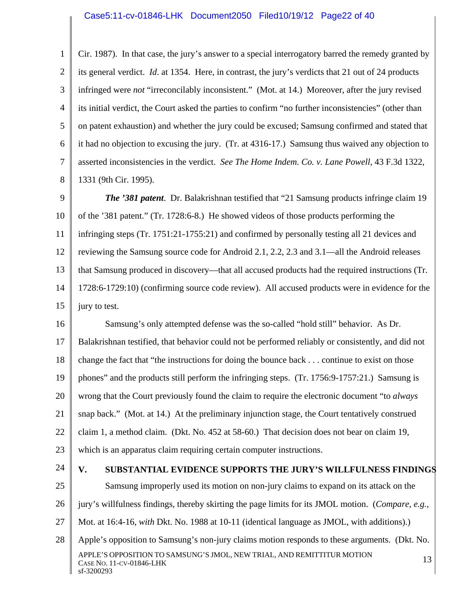#### Case5:11-cv-01846-LHK Document2050 Filed10/19/12 Page22 of 40

1 2 3 4 5 6 7 8 Cir. 1987). In that case, the jury's answer to a special interrogatory barred the remedy granted by its general verdict. *Id*. at 1354. Here, in contrast, the jury's verdicts that 21 out of 24 products infringed were *not* "irreconcilably inconsistent." (Mot. at 14.) Moreover, after the jury revised its initial verdict, the Court asked the parties to confirm "no further inconsistencies" (other than on patent exhaustion) and whether the jury could be excused; Samsung confirmed and stated that it had no objection to excusing the jury. (Tr. at 4316-17.) Samsung thus waived any objection to asserted inconsistencies in the verdict. *See The Home Indem. Co. v. Lane Powell,* 43 F.3d 1322, 1331 (9th Cir. 1995).

9 10 11 12 13 14 15 *The '381 patent*. Dr. Balakrishnan testified that "21 Samsung products infringe claim 19 of the '381 patent." (Tr. 1728:6-8.) He showed videos of those products performing the infringing steps (Tr. 1751:21-1755:21) and confirmed by personally testing all 21 devices and reviewing the Samsung source code for Android 2.1, 2.2, 2.3 and 3.1—all the Android releases that Samsung produced in discovery—that all accused products had the required instructions (Tr. 1728:6-1729:10) (confirming source code review). All accused products were in evidence for the jury to test.

16 17 18 19 20 21 22 23 Samsung's only attempted defense was the so-called "hold still" behavior. As Dr. Balakrishnan testified, that behavior could not be performed reliably or consistently, and did not change the fact that "the instructions for doing the bounce back . . . continue to exist on those phones" and the products still perform the infringing steps. (Tr. 1756:9-1757:21.) Samsung is wrong that the Court previously found the claim to require the electronic document "to *always* snap back." (Mot. at 14.) At the preliminary injunction stage, the Court tentatively construed claim 1, a method claim. (Dkt. No. 452 at 58-60.) That decision does not bear on claim 19, which is an apparatus claim requiring certain computer instructions.

24

sf-3200293

#### **V. SUBSTANTIAL EVIDENCE SUPPORTS THE JURY'S WILLFULNESS FINDINGS**

25 26 27 28 APPLE'S OPPOSITION TO SAMSUNG'S JMOL, NEW TRIAL, AND REMITTITUR MOTION [13]<br>Case No. 11-cv-01846-LHK Samsung improperly used its motion on non-jury claims to expand on its attack on the jury's willfulness findings, thereby skirting the page limits for its JMOL motion. (*Compare, e.g.,*  Mot. at 16:4-16, *with* Dkt. No. 1988 at 10-11 (identical language as JMOL, with additions).) Apple's opposition to Samsung's non-jury claims motion responds to these arguments. (Dkt. No.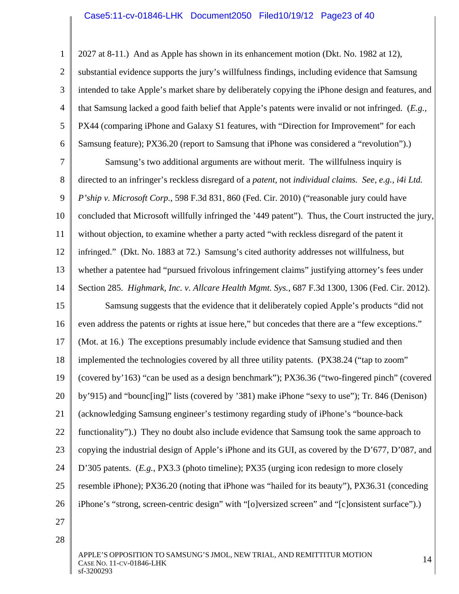### Case5:11-cv-01846-LHK Document2050 Filed10/19/12 Page23 of 40

2027 at 8-11.) And as Apple has shown in its enhancement motion (Dkt. No. 1982 at 12),

2 3 4 5 6 substantial evidence supports the jury's willfulness findings, including evidence that Samsung intended to take Apple's market share by deliberately copying the iPhone design and features, and that Samsung lacked a good faith belief that Apple's patents were invalid or not infringed. (*E.g.*, PX44 (comparing iPhone and Galaxy S1 features, with "Direction for Improvement" for each Samsung feature); PX36.20 (report to Samsung that iPhone was considered a "revolution").)

7 8 9 10 11 12 13 14 Samsung's two additional arguments are without merit. The willfulness inquiry is directed to an infringer's reckless disregard of a *patent,* not *individual claims. See, e.g., i4i Ltd. P'ship v. Microsoft Corp.*, 598 F.3d 831, 860 (Fed. Cir. 2010) ("reasonable jury could have concluded that Microsoft willfully infringed the '449 patent"). Thus, the Court instructed the jury, without objection, to examine whether a party acted "with reckless disregard of the patent it infringed." (Dkt. No. 1883 at 72.) Samsung's cited authority addresses not willfulness, but whether a patentee had "pursued frivolous infringement claims" justifying attorney's fees under Section 285. *Highmark, Inc. v. Allcare Health Mgmt. Sys.*, 687 F.3d 1300, 1306 (Fed. Cir. 2012).

15 16 17 18 19 20 21 22 23 24 25 26 Samsung suggests that the evidence that it deliberately copied Apple's products "did not even address the patents or rights at issue here," but concedes that there are a "few exceptions." (Mot. at 16.) The exceptions presumably include evidence that Samsung studied and then implemented the technologies covered by all three utility patents. (PX38.24 ("tap to zoom" (covered by'163) "can be used as a design benchmark"); PX36.36 ("two-fingered pinch" (covered by'915) and "bounc[ing]" lists (covered by '381) make iPhone "sexy to use"); Tr. 846 (Denison) (acknowledging Samsung engineer's testimony regarding study of iPhone's "bounce-back functionality").) They no doubt also include evidence that Samsung took the same approach to copying the industrial design of Apple's iPhone and its GUI, as covered by the D'677, D'087, and D'305 patents. (*E.g.*, PX3.3 (photo timeline); PX35 (urging icon redesign to more closely resemble iPhone); PX36.20 (noting that iPhone was "hailed for its beauty"), PX36.31 (conceding iPhone's "strong, screen-centric design" with "[o]versized screen" and "[c]onsistent surface").)

27

1

28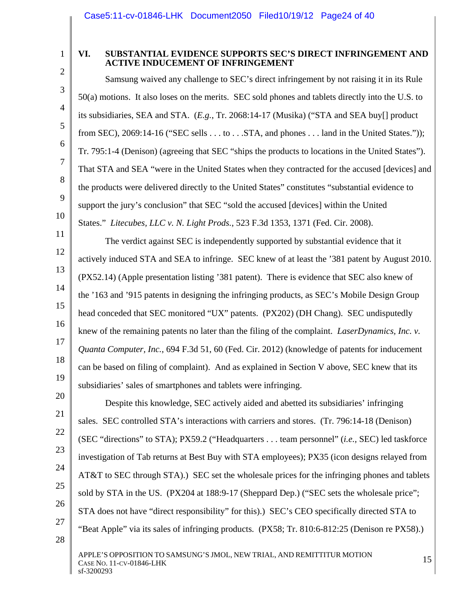1 2

3

4

5

6

7

8

9

10

11

12

13

14

15

16

17

18

19

## **VI. SUBSTANTIAL EVIDENCE SUPPORTS SEC'S DIRECT INFRINGEMENT AND ACTIVE INDUCEMENT OF INFRINGEMENT**

Samsung waived any challenge to SEC's direct infringement by not raising it in its Rule 50(a) motions. It also loses on the merits. SEC sold phones and tablets directly into the U.S. to its subsidiaries, SEA and STA. (*E.g.*, Tr. 2068:14-17 (Musika) ("STA and SEA buy[] product from SEC), 2069:14-16 ("SEC sells  $\dots$  to  $\dots$  STA, and phones  $\dots$  land in the United States.")); Tr. 795:1-4 (Denison) (agreeing that SEC "ships the products to locations in the United States"). That STA and SEA "were in the United States when they contracted for the accused [devices] and the products were delivered directly to the United States" constitutes "substantial evidence to support the jury's conclusion" that SEC "sold the accused [devices] within the United States." *Litecubes, LLC v. N. Light Prods.*, 523 F.3d 1353, 1371 (Fed. Cir. 2008).

The verdict against SEC is independently supported by substantial evidence that it actively induced STA and SEA to infringe. SEC knew of at least the '381 patent by August 2010. (PX52.14) (Apple presentation listing '381 patent). There is evidence that SEC also knew of the '163 and '915 patents in designing the infringing products, as SEC's Mobile Design Group head conceded that SEC monitored "UX" patents. (PX202) (DH Chang). SEC undisputedly knew of the remaining patents no later than the filing of the complaint. *LaserDynamics, Inc. v. Quanta Computer, Inc.*, 694 F.3d 51, 60 (Fed. Cir. 2012) (knowledge of patents for inducement can be based on filing of complaint). And as explained in Section V above, SEC knew that its subsidiaries' sales of smartphones and tablets were infringing.

20 21 22 23 24 25 26 27 28 Despite this knowledge, SEC actively aided and abetted its subsidiaries' infringing sales. SEC controlled STA's interactions with carriers and stores. (Tr. 796:14-18 (Denison) (SEC "directions" to STA); PX59.2 ("Headquarters . . . team personnel" (*i.e.,* SEC) led taskforce investigation of Tab returns at Best Buy with STA employees); PX35 (icon designs relayed from AT&T to SEC through STA).) SEC set the wholesale prices for the infringing phones and tablets sold by STA in the US. (PX204 at 188:9-17 (Sheppard Dep.) ("SEC sets the wholesale price"; STA does not have "direct responsibility" for this).) SEC's CEO specifically directed STA to "Beat Apple" via its sales of infringing products. (PX58; Tr. 810:6-812:25 (Denison re PX58).)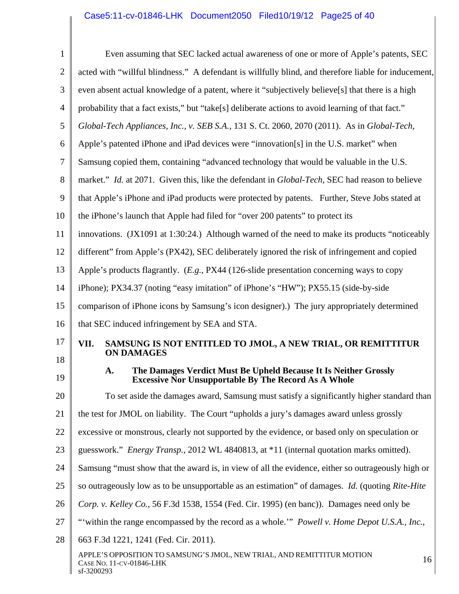# Case5:11-cv-01846-LHK Document2050 Filed10/19/12 Page25 of 40

| $\mathbf{1}$   | Even assuming that SEC lacked actual awareness of one or more of Apple's patents, SEC                                  |  |  |  |  |  |  |
|----------------|------------------------------------------------------------------------------------------------------------------------|--|--|--|--|--|--|
| $\overline{2}$ | acted with "willful blindness." A defendant is willfully blind, and therefore liable for inducement,                   |  |  |  |  |  |  |
| 3              | even absent actual knowledge of a patent, where it "subjectively believe <sup>[s]</sup> that there is a high           |  |  |  |  |  |  |
| 4              | probability that a fact exists," but "take[s] deliberate actions to avoid learning of that fact."                      |  |  |  |  |  |  |
| 5              | Global-Tech Appliances, Inc., v. SEB S.A., 131 S. Ct. 2060, 2070 (2011). As in Global-Tech,                            |  |  |  |  |  |  |
| 6              | Apple's patented iPhone and iPad devices were "innovation[s] in the U.S. market" when                                  |  |  |  |  |  |  |
| 7              | Samsung copied them, containing "advanced technology that would be valuable in the U.S.                                |  |  |  |  |  |  |
| 8              | market." Id. at 2071. Given this, like the defendant in Global-Tech, SEC had reason to believe                         |  |  |  |  |  |  |
| 9              | that Apple's iPhone and iPad products were protected by patents. Further, Steve Jobs stated at                         |  |  |  |  |  |  |
| 10             | the iPhone's launch that Apple had filed for "over 200 patents" to protect its                                         |  |  |  |  |  |  |
| 11             | innovations. (JX1091 at 1:30:24.) Although warned of the need to make its products "noticeably                         |  |  |  |  |  |  |
| 12             | different" from Apple's (PX42), SEC deliberately ignored the risk of infringement and copied                           |  |  |  |  |  |  |
| 13             | Apple's products flagrantly. $(E.g., PX44 (126 \text{-slide presentation concerning ways to copy})$                    |  |  |  |  |  |  |
| 14             | iPhone); PX34.37 (noting "easy imitation" of iPhone's "HW"); PX55.15 (side-by-side                                     |  |  |  |  |  |  |
| 15             | comparison of iPhone icons by Samsung's icon designer).) The jury appropriately determined                             |  |  |  |  |  |  |
| 16             | that SEC induced infringement by SEA and STA.                                                                          |  |  |  |  |  |  |
| 17             | SAMSUNG IS NOT ENTITLED TO JMOL, A NEW TRIAL, OR REMITTITUR<br>VII.<br><b>ON DAMAGES</b>                               |  |  |  |  |  |  |
| 18             | The Damages Verdict Must Be Upheld Because It Is Neither Grossly                                                       |  |  |  |  |  |  |
| 19             | A.<br><b>Excessive Nor Unsupportable By The Record As A Whole</b>                                                      |  |  |  |  |  |  |
| 20             | To set aside the damages award, Samsung must satisfy a significantly higher standard than                              |  |  |  |  |  |  |
| 21             | the test for JMOL on liability. The Court "upholds a jury's damages award unless grossly                               |  |  |  |  |  |  |
| 22             | excessive or monstrous, clearly not supported by the evidence, or based only on speculation or                         |  |  |  |  |  |  |
| 23             | guesswork." Energy Transp., 2012 WL 4840813, at *11 (internal quotation marks omitted).                                |  |  |  |  |  |  |
| 24             | Samsung "must show that the award is, in view of all the evidence, either so outrageously high or                      |  |  |  |  |  |  |
| 25             | so outrageously low as to be unsupportable as an estimation" of damages. <i>Id.</i> (quoting Rite-Hite                 |  |  |  |  |  |  |
| 26             | Corp. v. Kelley Co., 56 F.3d 1538, 1554 (Fed. Cir. 1995) (en banc)). Damages need only be                              |  |  |  |  |  |  |
| 27             | "within the range encompassed by the record as a whole."" <i>Powell v. Home Depot U.S.A., Inc.,</i>                    |  |  |  |  |  |  |
| 28             | 663 F.3d 1221, 1241 (Fed. Cir. 2011).                                                                                  |  |  |  |  |  |  |
|                | APPLE'S OPPOSITION TO SAMSUNG'S JMOL, NEW TRIAL, AND REMITTITUR MOTION<br>16<br>CASE NO. 11-CV-01846-LHK<br>sf-3200293 |  |  |  |  |  |  |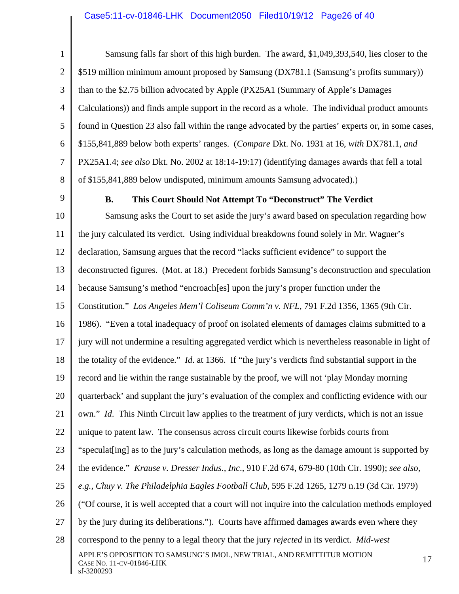#### Case5:11-cv-01846-LHK Document2050 Filed10/19/12 Page26 of 40

1 2 3 4 5 6 7 8 Samsung falls far short of this high burden. The award, \$1,049,393,540, lies closer to the \$519 million minimum amount proposed by Samsung (DX781.1 (Samsung's profits summary)) than to the \$2.75 billion advocated by Apple (PX25A1 (Summary of Apple's Damages Calculations)) and finds ample support in the record as a whole. The individual product amounts found in Question 23 also fall within the range advocated by the parties' experts or, in some cases, \$155,841,889 below both experts' ranges. (*Compare* Dkt. No. 1931 at 16, *with* DX781.1, *and* PX25A1.4; *see also* Dkt. No. 2002 at 18:14-19:17) (identifying damages awards that fell a total of \$155,841,889 below undisputed, minimum amounts Samsung advocated).)

9

#### **B. This Court Should Not Attempt To "Deconstruct" The Verdict**

10 11 12 13 14 15 16 17 18 19 20 21 22 23 24 25 26 27 28 APPLE'S OPPOSITION TO SAMSUNG'S JMOL, NEW TRIAL, AND REMITTITUR MOTION  $17$ sf-3200293 Samsung asks the Court to set aside the jury's award based on speculation regarding how the jury calculated its verdict. Using individual breakdowns found solely in Mr. Wagner's declaration, Samsung argues that the record "lacks sufficient evidence" to support the deconstructed figures. (Mot. at 18.) Precedent forbids Samsung's deconstruction and speculation because Samsung's method "encroach[es] upon the jury's proper function under the Constitution." *Los Angeles Mem'l Coliseum Comm'n v. NFL*, 791 F.2d 1356, 1365 (9th Cir. 1986). "Even a total inadequacy of proof on isolated elements of damages claims submitted to a jury will not undermine a resulting aggregated verdict which is nevertheless reasonable in light of the totality of the evidence." *Id*. at 1366. If "the jury's verdicts find substantial support in the record and lie within the range sustainable by the proof, we will not 'play Monday morning quarterback' and supplant the jury's evaluation of the complex and conflicting evidence with our own." *Id*. This Ninth Circuit law applies to the treatment of jury verdicts, which is not an issue unique to patent law. The consensus across circuit courts likewise forbids courts from "speculat [ing] as to the jury's calculation methods, as long as the damage amount is supported by the evidence." *Krause v. Dresser Indus., Inc*., 910 F.2d 674, 679-80 (10th Cir. 1990); *see also, e.g.*, *Chuy v. The Philadelphia Eagles Football Club*, 595 F.2d 1265, 1279 n.19 (3d Cir. 1979) ("Of course, it is well accepted that a court will not inquire into the calculation methods employed by the jury during its deliberations."). Courts have affirmed damages awards even where they correspond to the penny to a legal theory that the jury *rejected* in its verdict. *Mid-west*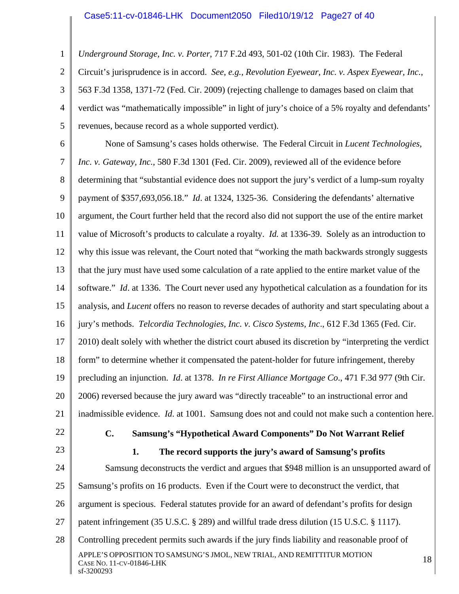1 2 3 4 5 *Underground Storage, Inc. v. Porter*, 717 F.2d 493, 501-02 (10th Cir. 1983). The Federal Circuit's jurisprudence is in accord. *See, e.g., Revolution Eyewear, Inc. v. Aspex Eyewear, Inc.*, 563 F.3d 1358, 1371-72 (Fed. Cir. 2009) (rejecting challenge to damages based on claim that verdict was "mathematically impossible" in light of jury's choice of a 5% royalty and defendants' revenues, because record as a whole supported verdict).

6 7 8 9 10 11 12 13 14 15 16 17 18 19 20 21 22 None of Samsung's cases holds otherwise. The Federal Circuit in *Lucent Technologies, Inc. v. Gateway, Inc.*, 580 F.3d 1301 (Fed. Cir. 2009), reviewed all of the evidence before determining that "substantial evidence does not support the jury's verdict of a lump-sum royalty payment of \$357,693,056.18." *Id*. at 1324, 1325-36. Considering the defendants' alternative argument, the Court further held that the record also did not support the use of the entire market value of Microsoft's products to calculate a royalty. *Id.* at 1336-39. Solely as an introduction to why this issue was relevant, the Court noted that "working the math backwards strongly suggests that the jury must have used some calculation of a rate applied to the entire market value of the software." *Id*. at 1336. The Court never used any hypothetical calculation as a foundation for its analysis, and *Lucent* offers no reason to reverse decades of authority and start speculating about a jury's methods. *Telcordia Technologies, Inc. v. Cisco Systems, Inc*., 612 F.3d 1365 (Fed. Cir. 2010) dealt solely with whether the district court abused its discretion by "interpreting the verdict form" to determine whether it compensated the patent-holder for future infringement, thereby precluding an injunction. *Id*. at 1378. *In re First Alliance Mortgage Co*., 471 F.3d 977 (9th Cir. 2006) reversed because the jury award was "directly traceable" to an instructional error and inadmissible evidence. *Id*. at 1001. Samsung does not and could not make such a contention here. **C. Samsung's "Hypothetical Award Components" Do Not Warrant Relief** 

23

# **1. The record supports the jury's award of Samsung's profits**

24 25 26 27 28 APPLE'S OPPOSITION TO SAMSUNG'S JMOL, NEW TRIAL, AND REMITTITUR MOTION  $18$ sf-3200293 Samsung deconstructs the verdict and argues that \$948 million is an unsupported award of Samsung's profits on 16 products. Even if the Court were to deconstruct the verdict, that argument is specious. Federal statutes provide for an award of defendant's profits for design patent infringement (35 U.S.C. § 289) and willful trade dress dilution (15 U.S.C. § 1117). Controlling precedent permits such awards if the jury finds liability and reasonable proof of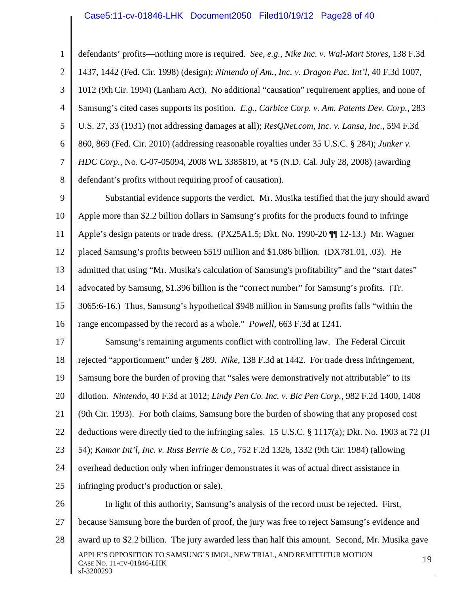#### Case5:11-cv-01846-LHK Document2050 Filed10/19/12 Page28 of 40

1 2 3 4 5 6 7 8 defendants' profits—nothing more is required. *See, e.g.*, *Nike Inc. v. Wal-Mart Stores*, 138 F.3d 1437, 1442 (Fed. Cir. 1998) (design); *Nintendo of Am., Inc. v. Dragon Pac. Int'l*, 40 F.3d 1007, 1012 (9thCir. 1994) (Lanham Act). No additional "causation" requirement applies, and none of Samsung's cited cases supports its position. *E.g.*, *Carbice Corp. v. Am. Patents Dev. Corp.*, 283 U.S. 27, 33 (1931) (not addressing damages at all); *ResQNet.com, Inc. v. Lansa, Inc.*, 594 F.3d 860, 869 (Fed. Cir. 2010) (addressing reasonable royalties under 35 U.S.C. § 284); *Junker v. HDC Corp.*, No. C-07-05094, 2008 WL 3385819, at \*5 (N.D. Cal. July 28, 2008) (awarding defendant's profits without requiring proof of causation).

9 10 11 12 13 14 15 16 Substantial evidence supports the verdict. Mr. Musika testified that the jury should award Apple more than \$2.2 billion dollars in Samsung's profits for the products found to infringe Apple's design patents or trade dress. (PX25A1.5; Dkt. No. 1990-20 ¶¶ 12-13.) Mr. Wagner placed Samsung's profits between \$519 million and \$1.086 billion. (DX781.01, .03). He admitted that using "Mr. Musika's calculation of Samsung's profitability" and the "start dates" advocated by Samsung, \$1.396 billion is the "correct number" for Samsung's profits. (Tr. 3065:6-16.) Thus, Samsung's hypothetical \$948 million in Samsung profits falls "within the range encompassed by the record as a whole." *Powell*, 663 F.3d at 1241.

17 18 19 20 21 22 23 24 25 26 Samsung's remaining arguments conflict with controlling law. The Federal Circuit rejected "apportionment" under § 289. *Nike*, 138 F.3d at 1442. For trade dress infringement, Samsung bore the burden of proving that "sales were demonstratively not attributable" to its dilution. *Nintendo*, 40 F.3d at 1012; *Lindy Pen Co. Inc. v. Bic Pen Corp.*, 982 F.2d 1400, 1408 (9th Cir. 1993). For both claims, Samsung bore the burden of showing that any proposed cost deductions were directly tied to the infringing sales. 15 U.S.C. § 1117(a); Dkt. No. 1903 at 72 (JI 54); *Kamar Int'l, Inc. v. Russ Berrie & Co.*, 752 F.2d 1326, 1332 (9th Cir. 1984) (allowing overhead deduction only when infringer demonstrates it was of actual direct assistance in infringing product's production or sale). In light of this authority, Samsung's analysis of the record must be rejected. First,

27 28 APPLE'S OPPOSITION TO SAMSUNG'S JMOL, NEW TRIAL, AND REMITTITUR MOTION CASE NO. 11-CV-01846-LHK 19 sf-3200293 because Samsung bore the burden of proof, the jury was free to reject Samsung's evidence and award up to \$2.2 billion. The jury awarded less than half this amount. Second, Mr. Musika gave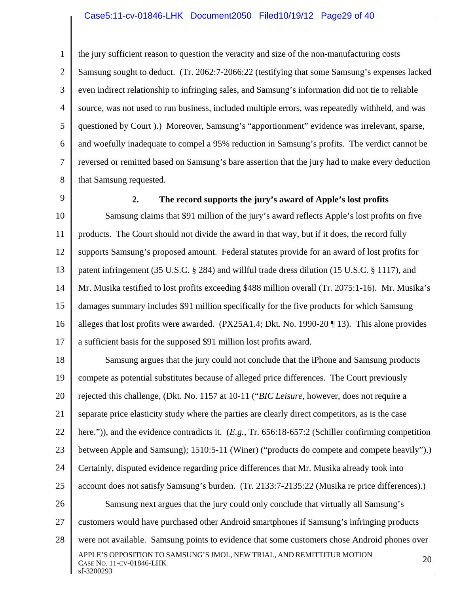#### Case5:11-cv-01846-LHK Document2050 Filed10/19/12 Page29 of 40

1 2 3 4 5 6 7 8 the jury sufficient reason to question the veracity and size of the non-manufacturing costs Samsung sought to deduct. (Tr. 2062:7-2066:22 (testifying that some Samsung's expenses lacked even indirect relationship to infringing sales, and Samsung's information did not tie to reliable source, was not used to run business, included multiple errors, was repeatedly withheld, and was questioned by Court ).) Moreover, Samsung's "apportionment" evidence was irrelevant, sparse, and woefully inadequate to compel a 95% reduction in Samsung's profits. The verdict cannot be reversed or remitted based on Samsung's bare assertion that the jury had to make every deduction that Samsung requested.

9

#### **2. The record supports the jury's award of Apple's lost profits**

10 11 12 13 14 15 16 17 Samsung claims that \$91 million of the jury's award reflects Apple's lost profits on five products. The Court should not divide the award in that way, but if it does, the record fully supports Samsung's proposed amount. Federal statutes provide for an award of lost profits for patent infringement (35 U.S.C. § 284) and willful trade dress dilution (15 U.S.C. § 1117), and Mr. Musika testified to lost profits exceeding \$488 million overall (Tr. 2075:1-16). Mr. Musika's damages summary includes \$91 million specifically for the five products for which Samsung alleges that lost profits were awarded. (PX25A1.4; Dkt. No. 1990-20 ¶ 13). This alone provides a sufficient basis for the supposed \$91 million lost profits award.

18 19 20 21 22 23 24 25 26 27 28 APPLE'S OPPOSITION TO SAMSUNG'S JMOL, NEW TRIAL, AND REMITTITUR MOTION CASE NO. 11-CV-01846-LHK 20 Samsung argues that the jury could not conclude that the iPhone and Samsung products compete as potential substitutes because of alleged price differences. The Court previously rejected this challenge, (Dkt. No. 1157 at 10-11 ("*BIC Leisure*, however, does not require a separate price elasticity study where the parties are clearly direct competitors, as is the case here.")), and the evidence contradicts it. (*E.g.*, Tr. 656:18-657:2 (Schiller confirming competition between Apple and Samsung); 1510:5-11 (Winer) ("products do compete and compete heavily").) Certainly, disputed evidence regarding price differences that Mr. Musika already took into account does not satisfy Samsung's burden. (Tr. 2133:7-2135:22 (Musika re price differences).) Samsung next argues that the jury could only conclude that virtually all Samsung's customers would have purchased other Android smartphones if Samsung's infringing products were not available. Samsung points to evidence that some customers chose Android phones over

sf-3200293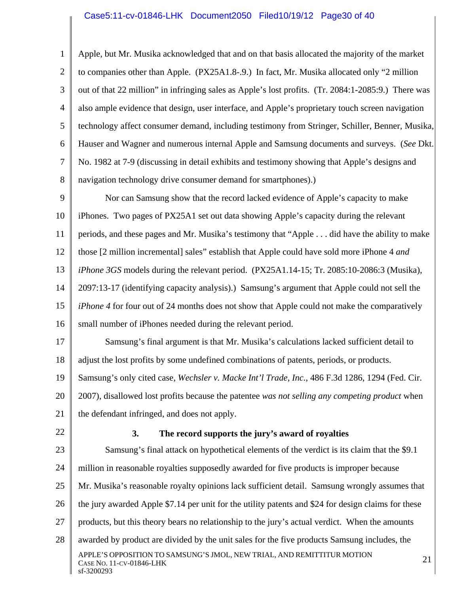#### Case5:11-cv-01846-LHK Document2050 Filed10/19/12 Page30 of 40

1 2 3 4 5 6 7 8 Apple, but Mr. Musika acknowledged that and on that basis allocated the majority of the market to companies other than Apple. (PX25A1.8-.9.) In fact, Mr. Musika allocated only "2 million out of that 22 million" in infringing sales as Apple's lost profits. (Tr. 2084:1-2085:9.) There was also ample evidence that design, user interface, and Apple's proprietary touch screen navigation technology affect consumer demand, including testimony from Stringer, Schiller, Benner, Musika, Hauser and Wagner and numerous internal Apple and Samsung documents and surveys. (*See* Dkt. No. 1982 at 7-9 (discussing in detail exhibits and testimony showing that Apple's designs and navigation technology drive consumer demand for smartphones).)

9 10 11 12 13 14 15 16 Nor can Samsung show that the record lacked evidence of Apple's capacity to make iPhones. Two pages of PX25A1 set out data showing Apple's capacity during the relevant periods, and these pages and Mr. Musika's testimony that "Apple . . . did have the ability to make those [2 million incremental] sales" establish that Apple could have sold more iPhone 4 *and iPhone 3GS* models during the relevant period. (PX25A1.14-15; Tr. 2085:10-2086:3 (Musika), 2097:13-17 (identifying capacity analysis).) Samsung's argument that Apple could not sell the *iPhone 4* for four out of 24 months does not show that Apple could not make the comparatively small number of iPhones needed during the relevant period.

17 18 Samsung's final argument is that Mr. Musika's calculations lacked sufficient detail to adjust the lost profits by some undefined combinations of patents, periods, or products.

19 20 Samsung's only cited case, *Wechsler v. Macke Int'l Trade, Inc.*, 486 F.3d 1286, 1294 (Fed. Cir. 2007), disallowed lost profits because the patentee *was not selling any competing product* when

21 the defendant infringed, and does not apply.

22

#### **3. The record supports the jury's award of royalties**

23 24 25 26 27 28 APPLE'S OPPOSITION TO SAMSUNG'S JMOL, NEW TRIAL, AND REMITTITUR MOTION 21<br>Case No. 11-cv-01846-LHK sf-3200293 Samsung's final attack on hypothetical elements of the verdict is its claim that the \$9.1 million in reasonable royalties supposedly awarded for five products is improper because Mr. Musika's reasonable royalty opinions lack sufficient detail. Samsung wrongly assumes that the jury awarded Apple \$7.14 per unit for the utility patents and \$24 for design claims for these products, but this theory bears no relationship to the jury's actual verdict. When the amounts awarded by product are divided by the unit sales for the five products Samsung includes, the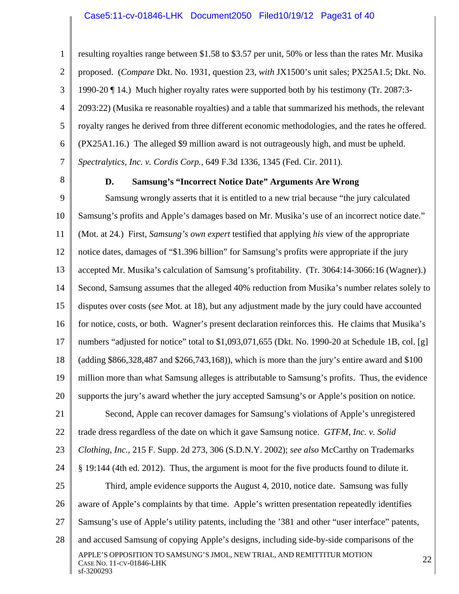1 2 3 4 5 6 7 resulting royalties range between \$1.58 to \$3.57 per unit, 50% or less than the rates Mr. Musika proposed. (*Compare* Dkt. No. 1931, question 23, *with* JX1500's unit sales; PX25A1.5; Dkt. No. 1990-20 ¶ 14.) Much higher royalty rates were supported both by his testimony (Tr. 2087:3- 2093:22) (Musika re reasonable royalties) and a table that summarized his methods, the relevant royalty ranges he derived from three different economic methodologies, and the rates he offered. (PX25A1.16.) The alleged \$9 million award is not outrageously high, and must be upheld. *Spectralytics, Inc. v. Cordis Corp.*, 649 F.3d 1336, 1345 (Fed. Cir. 2011).

8

#### **D. Samsung's "Incorrect Notice Date" Arguments Are Wrong**

9 10 11 12 13 14 15 16 17 18 19 20 Samsung wrongly asserts that it is entitled to a new trial because "the jury calculated Samsung's profits and Apple's damages based on Mr. Musika's use of an incorrect notice date." (Mot. at 24.) First, *Samsung's own expert* testified that applying *his* view of the appropriate notice dates, damages of "\$1.396 billion" for Samsung's profits were appropriate if the jury accepted Mr. Musika's calculation of Samsung's profitability. (Tr. 3064:14-3066:16 (Wagner).) Second, Samsung assumes that the alleged 40% reduction from Musika's number relates solely to disputes over costs (s*ee* Mot. at 18), but any adjustment made by the jury could have accounted for notice, costs, or both. Wagner's present declaration reinforces this. He claims that Musika's numbers "adjusted for notice" total to \$1,093,071,655 (Dkt. No. 1990-20 at Schedule 1B, col. [g] (adding \$866,328,487 and \$266,743,168)), which is more than the jury's entire award and \$100 million more than what Samsung alleges is attributable to Samsung's profits. Thus, the evidence supports the jury's award whether the jury accepted Samsung's or Apple's position on notice.

21 22 23 24 25 26 27 28 APPLE'S OPPOSITION TO SAMSUNG'S JMOL, NEW TRIAL, AND REMITTITUR MOTION 22<br>Case No. 11-cv-01846-LHK sf-3200293 Second, Apple can recover damages for Samsung's violations of Apple's unregistered trade dress regardless of the date on which it gave Samsung notice. *GTFM, Inc. v. Solid Clothing, Inc.*, 215 F. Supp. 2d 273, 306 (S.D.N.Y. 2002); *see also* McCarthy on Trademarks § 19:144 (4th ed. 2012). Thus, the argument is moot for the five products found to dilute it. Third, ample evidence supports the August 4, 2010, notice date. Samsung was fully aware of Apple's complaints by that time. Apple's written presentation repeatedly identifies Samsung's use of Apple's utility patents, including the '381 and other "user interface" patents, and accused Samsung of copying Apple's designs, including side-by-side comparisons of the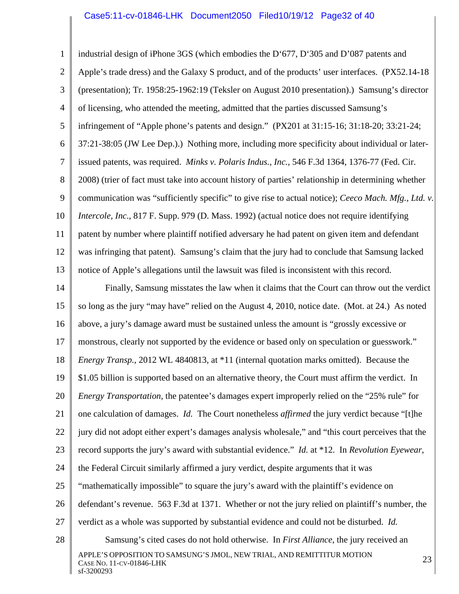#### Case5:11-cv-01846-LHK Document2050 Filed10/19/12 Page32 of 40

1 2 3 4 5 6 7 8 9 10 11 12 13 14 15 industrial design of iPhone 3GS (which embodies the D'677, D'305 and D'087 patents and Apple's trade dress) and the Galaxy S product, and of the products' user interfaces. (PX52.14-18 (presentation); Tr. 1958:25-1962:19 (Teksler on August 2010 presentation).) Samsung's director of licensing, who attended the meeting, admitted that the parties discussed Samsung's infringement of "Apple phone's patents and design." (PX201 at 31:15-16; 31:18-20; 33:21-24; 37:21-38:05 (JW Lee Dep.).) Nothing more, including more specificity about individual or laterissued patents, was required. *Minks v. Polaris Indus., Inc.*, 546 F.3d 1364, 1376-77 (Fed. Cir. 2008) (trier of fact must take into account history of parties' relationship in determining whether communication was "sufficiently specific" to give rise to actual notice); *Ceeco Mach. Mfg., Ltd. v. Intercole, Inc*., 817 F. Supp. 979 (D. Mass. 1992) (actual notice does not require identifying patent by number where plaintiff notified adversary he had patent on given item and defendant was infringing that patent). Samsung's claim that the jury had to conclude that Samsung lacked notice of Apple's allegations until the lawsuit was filed is inconsistent with this record. Finally, Samsung misstates the law when it claims that the Court can throw out the verdict so long as the jury "may have" relied on the August 4, 2010, notice date. (Mot. at 24.) As noted

16 above, a jury's damage award must be sustained unless the amount is "grossly excessive or

17 monstrous, clearly not supported by the evidence or based only on speculation or guesswork."

18 *Energy Transp.*, 2012 WL 4840813, at \*11 (internal quotation marks omitted). Because the

19 \$1.05 billion is supported based on an alternative theory, the Court must affirm the verdict. In

20 *Energy Transportation,* the patentee's damages expert improperly relied on the "25% rule" for

21 one calculation of damages. *Id.* The Court nonetheless *affirmed* the jury verdict because "[t]he

22 jury did not adopt either expert's damages analysis wholesale," and "this court perceives that the

23 record supports the jury's award with substantial evidence." *Id.* at \*12.In *Revolution Eyewear*,

24 the Federal Circuit similarly affirmed a jury verdict, despite arguments that it was

28

25 "mathematically impossible" to square the jury's award with the plaintiff's evidence on

26 defendant's revenue. 563 F.3d at 1371. Whether or not the jury relied on plaintiff's number, the

27 verdict as a whole was supported by substantial evidence and could not be disturbed. *Id.*

APPLE'S OPPOSITION TO SAMSUNG'S JMOL, NEW TRIAL, AND REMITTITUR MOTION 23<br>Case No. 11-cv-01846-LHK sf-3200293 Samsung's cited cases do not hold otherwise. In *First Alliance*, the jury received an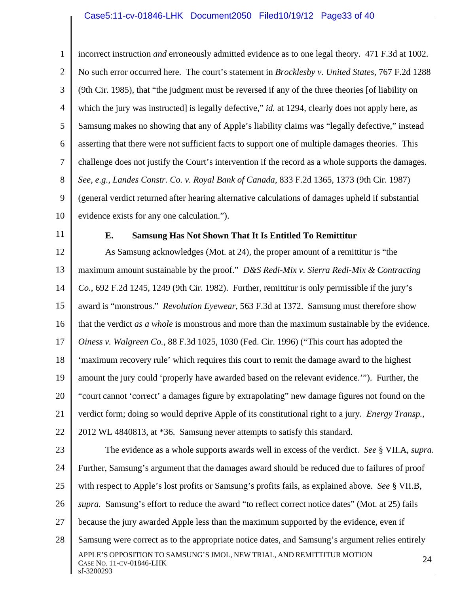1 2 3 4 5 6 7 8 9 10 incorrect instruction *and* erroneously admitted evidence as to one legal theory. 471 F.3d at 1002. No such error occurred here. The court's statement in *Brocklesby v. United States*, 767 F.2d 1288 (9th Cir. 1985), that "the judgment must be reversed if any of the three theories [of liability on which the jury was instructed] is legally defective," *id.* at 1294, clearly does not apply here, as Samsung makes no showing that any of Apple's liability claims was "legally defective," instead asserting that there were not sufficient facts to support one of multiple damages theories. This challenge does not justify the Court's intervention if the record as a whole supports the damages. *See*, *e.g.*, *Landes Constr. Co. v. Royal Bank of Canada*, 833 F.2d 1365, 1373 (9th Cir. 1987) (general verdict returned after hearing alternative calculations of damages upheld if substantial evidence exists for any one calculation.").

11

## **E. Samsung Has Not Shown That It Is Entitled To Remittitur**

12 13 14 15 16 17 18 19 20 21 22 As Samsung acknowledges (Mot. at 24), the proper amount of a remittitur is "the maximum amount sustainable by the proof." *D&S Redi-Mix v. Sierra Redi-Mix & Contracting Co.*, 692 F.2d 1245, 1249 (9th Cir. 1982). Further, remittitur is only permissible if the jury's award is "monstrous." *Revolution Eyewear*, 563 F.3d at 1372. Samsung must therefore show that the verdict *as a whole* is monstrous and more than the maximum sustainable by the evidence. *Oiness v. Walgreen Co.*, 88 F.3d 1025, 1030 (Fed. Cir. 1996) ("This court has adopted the 'maximum recovery rule' which requires this court to remit the damage award to the highest amount the jury could 'properly have awarded based on the relevant evidence.'"). Further, the "court cannot 'correct' a damages figure by extrapolating" new damage figures not found on the verdict form; doing so would deprive Apple of its constitutional right to a jury. *Energy Transp.*, 2012 WL 4840813, at \*36. Samsung never attempts to satisfy this standard.

23 24 25 26 27 28 APPLE'S OPPOSITION TO SAMSUNG'S JMOL, NEW TRIAL, AND REMITTITUR MOTION 24<br>Case No. 11-cv-01846-LHK sf-3200293 The evidence as a whole supports awards well in excess of the verdict. *See* § VII.A, *supra*. Further, Samsung's argument that the damages award should be reduced due to failures of proof with respect to Apple's lost profits or Samsung's profits fails, as explained above. *See* § VII.B, *supra.* Samsung's effort to reduce the award "to reflect correct notice dates" (Mot. at 25) fails because the jury awarded Apple less than the maximum supported by the evidence, even if Samsung were correct as to the appropriate notice dates, and Samsung's argument relies entirely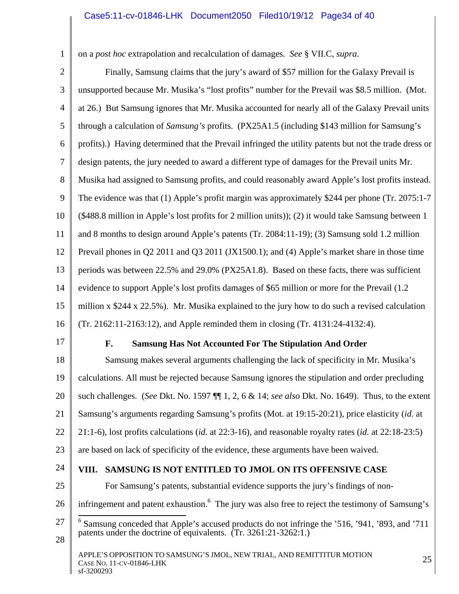on a *post hoc* extrapolation and recalculation of damages. *See* § VII.C, *supra*.

2

1

3 4 5 6 7 8 9 10 11 12 13 14 15 16 Finally, Samsung claims that the jury's award of \$57 million for the Galaxy Prevail is unsupported because Mr. Musika's "lost profits" number for the Prevail was \$8.5 million. (Mot. at 26.) But Samsung ignores that Mr. Musika accounted for nearly all of the Galaxy Prevail units through a calculation of *Samsung's* profits. (PX25A1.5 (including \$143 million for Samsung's profits).) Having determined that the Prevail infringed the utility patents but not the trade dress or design patents, the jury needed to award a different type of damages for the Prevail units Mr. Musika had assigned to Samsung profits, and could reasonably award Apple's lost profits instead. The evidence was that (1) Apple's profit margin was approximately \$244 per phone (Tr. 2075:1-7 (\$488.8 million in Apple's lost profits for 2 million units)); (2) it would take Samsung between 1 and 8 months to design around Apple's patents (Tr. 2084:11-19); (3) Samsung sold 1.2 million Prevail phones in Q2 2011 and Q3 2011 (JX1500.1); and (4) Apple's market share in those time periods was between 22.5% and 29.0% (PX25A1.8). Based on these facts, there was sufficient evidence to support Apple's lost profits damages of \$65 million or more for the Prevail (1.2 million x \$244 x 22.5%). Mr. Musika explained to the jury how to do such a revised calculation (Tr. 2162:11-2163:12), and Apple reminded them in closing (Tr. 4131:24-4132:4).

17

# **F. Samsung Has Not Accounted For The Stipulation And Order**

18 19 20 21 22 23 Samsung makes several arguments challenging the lack of specificity in Mr. Musika's calculations. All must be rejected because Samsung ignores the stipulation and order precluding such challenges. (*See* Dkt. No. 1597 ¶¶ 1, 2, 6 & 14; *see also* Dkt. No. 1649). Thus, to the extent Samsung's arguments regarding Samsung's profits (Mot. at 19:15-20:21), price elasticity (*id*. at 21:1-6), lost profits calculations (*id.* at 22:3-16), and reasonable royalty rates (*id.* at 22:18-23:5) are based on lack of specificity of the evidence, these arguments have been waived.

- 24 25
- 

## **VIII. SAMSUNG IS NOT ENTITLED TO JMOL ON ITS OFFENSIVE CASE**

For Samsung's patents, substantial evidence supports the jury's findings of non-

- 26 infringement and patent exhaustion. <sup>6</sup> The jury was also free to reject the testimony of Samsung's
- 27  $\overline{\phantom{a}}$ <sup>6</sup> Samsung conceded that Apple's accused products do not infringe the '516, '941, '893, and '711 patents under the doctrine of equivalents. (Tr. 3261:21-3262:1.)
- 28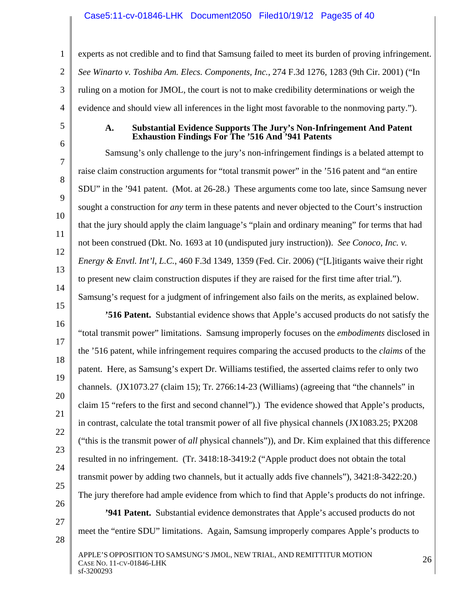### Case5:11-cv-01846-LHK Document2050 Filed10/19/12 Page35 of 40

1 2 3 4 experts as not credible and to find that Samsung failed to meet its burden of proving infringement. *See Winarto v. Toshiba Am. Elecs. Components, Inc.*, 274 F.3d 1276, 1283 (9th Cir. 2001) ("In ruling on a motion for JMOL, the court is not to make credibility determinations or weigh the evidence and should view all inferences in the light most favorable to the nonmoving party.").

5 6

7

8

9

10

11

12

13

14

17

19

21

22

23

25

27

28

#### **A. Substantial Evidence Supports The Jury's Non-Infringement And Patent Exhaustion Findings For The '516 And '941 Patents**

Samsung's only challenge to the jury's non-infringement findings is a belated attempt to raise claim construction arguments for "total transmit power" in the '516 patent and "an entire SDU" in the '941 patent. (Mot. at 26-28.) These arguments come too late, since Samsung never sought a construction for *any* term in these patents and never objected to the Court's instruction that the jury should apply the claim language's "plain and ordinary meaning" for terms that had not been construed (Dkt. No. 1693 at 10 (undisputed jury instruction)). *See Conoco, Inc. v. Energy & Envtl. Int'l, L.C.*, 460 F.3d 1349, 1359 (Fed. Cir. 2006) ("[L]itigants waive their right to present new claim construction disputes if they are raised for the first time after trial."). Samsung's request for a judgment of infringement also fails on the merits, as explained below.

15 16 18 20 24 26 **'516 Patent.** Substantial evidence shows that Apple's accused products do not satisfy the "total transmit power" limitations. Samsung improperly focuses on the *embodiments* disclosed in the '516 patent, while infringement requires comparing the accused products to the *claims* of the patent. Here, as Samsung's expert Dr. Williams testified, the asserted claims refer to only two channels. (JX1073.27 (claim 15); Tr. 2766:14-23 (Williams) (agreeing that "the channels" in claim 15 "refers to the first and second channel").) The evidence showed that Apple's products, in contrast, calculate the total transmit power of all five physical channels (JX1083.25; PX208 ("this is the transmit power of *all* physical channels")), and Dr. Kim explained that this difference resulted in no infringement. (Tr. 3418:18-3419:2 ("Apple product does not obtain the total transmit power by adding two channels, but it actually adds five channels"), 3421:8-3422:20.) The jury therefore had ample evidence from which to find that Apple's products do not infringe.

**'941 Patent.** Substantial evidence demonstrates that Apple's accused products do not meet the "entire SDU" limitations. Again, Samsung improperly compares Apple's products to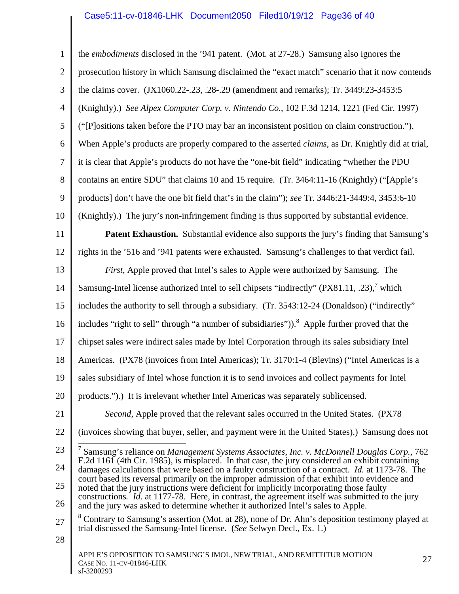## Case5:11-cv-01846-LHK Document2050 Filed10/19/12 Page36 of 40

1 2 3 4 5 6 7 8 9 10 11 12 13 14 15 16 17 18 19 20 21 22 23 24 25 26 27 28 APPLE'S OPPOSITION TO SAMSUNG'S JMOL, NEW TRIAL, AND REMITTITUR MOTION 27<br>Case No. 11-cv-01846-LHK the *embodiments* disclosed in the '941 patent. (Mot. at 27-28.) Samsung also ignores the prosecution history in which Samsung disclaimed the "exact match" scenario that it now contends the claims cover. (JX1060.22-.23, .28-.29 (amendment and remarks); Tr. 3449:23-3453:5 (Knightly).) *See Alpex Computer Corp. v. Nintendo Co.*, 102 F.3d 1214, 1221 (Fed Cir. 1997) ("[P]ositions taken before the PTO may bar an inconsistent position on claim construction."). When Apple's products are properly compared to the asserted *claims*, as Dr. Knightly did at trial, it is clear that Apple's products do not have the "one-bit field" indicating "whether the PDU contains an entire SDU" that claims 10 and 15 require. (Tr. 3464:11-16 (Knightly) ("[Apple's products] don't have the one bit field that's in the claim"); *see* Tr. 3446:21-3449:4, 3453:6-10 (Knightly).) The jury's non-infringement finding is thus supported by substantial evidence. **Patent Exhaustion.** Substantial evidence also supports the jury's finding that Samsung's rights in the '516 and '941 patents were exhausted. Samsung's challenges to that verdict fail. *First*, Apple proved that Intel's sales to Apple were authorized by Samsung. The Samsung-Intel license authorized Intel to sell chipsets "indirectly" (PX81.11, .23),<sup>7</sup> which includes the authority to sell through a subsidiary. (Tr. 3543:12-24 (Donaldson) ("indirectly" includes "right to sell" through "a number of subsidiaries")).<sup>8</sup> Apple further proved that the chipset sales were indirect sales made by Intel Corporation through its sales subsidiary Intel Americas. (PX78 (invoices from Intel Americas); Tr. 3170:1-4 (Blevins) ("Intel Americas is a sales subsidiary of Intel whose function it is to send invoices and collect payments for Intel products.").) It is irrelevant whether Intel Americas was separately sublicensed. *Second*, Apple proved that the relevant sales occurred in the United States. (PX78 (invoices showing that buyer, seller, and payment were in the United States).) Samsung does not 7 Samsung's reliance on *Management Systems Associates, Inc. v. McDonnell Douglas Corp.*, 762 F.2d 1161 (4th Cir. 1985), is misplaced. In that case, the jury considered an exhibit containing damages calculations that were based on a faulty construction of a contract. *Id.* at 1173-78. The court based its reversal primarily on the improper admission of that exhibit into evidence and noted that the jury instructions were deficient for implicitly incorporating those faulty constructions*. Id*. at 1177-78. Here, in contrast, the agreement itself was submitted to the jury and the jury was asked to determine whether it authorized Intel's sales to Apple. <sup>8</sup> Contrary to Samsung's assertion (Mot. at 28), none of Dr. Ahn's deposition testimony played at trial discussed the Samsung-Intel license. (*See* Selwyn Decl., Ex. 1.)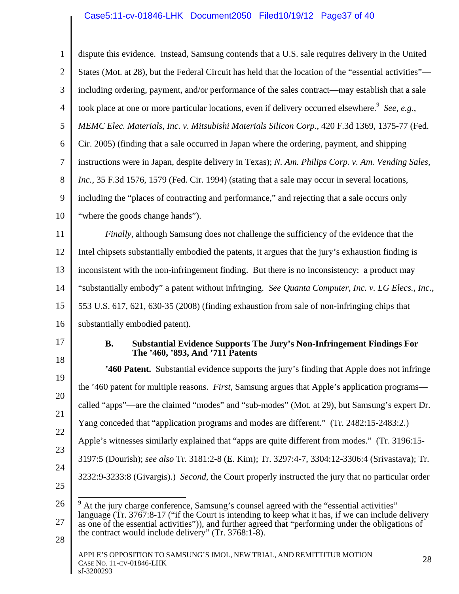# Case5:11-cv-01846-LHK Document2050 Filed10/19/12 Page37 of 40

| $\mathbf{1}$   | dispute this evidence. Instead, Samsung contends that a U.S. sale requires delivery in the United                                                                                                          |  |  |  |  |  |  |
|----------------|------------------------------------------------------------------------------------------------------------------------------------------------------------------------------------------------------------|--|--|--|--|--|--|
| $\overline{2}$ | States (Mot. at 28), but the Federal Circuit has held that the location of the "essential activities"—                                                                                                     |  |  |  |  |  |  |
| 3              | including ordering, payment, and/or performance of the sales contract—may establish that a sale                                                                                                            |  |  |  |  |  |  |
| $\overline{4}$ | took place at one or more particular locations, even if delivery occurred elsewhere. <sup>9</sup> See, e.g.,                                                                                               |  |  |  |  |  |  |
| 5              | MEMC Elec. Materials, Inc. v. Mitsubishi Materials Silicon Corp., 420 F.3d 1369, 1375-77 (Fed.                                                                                                             |  |  |  |  |  |  |
| 6              | Cir. 2005) (finding that a sale occurred in Japan where the ordering, payment, and shipping                                                                                                                |  |  |  |  |  |  |
| 7              | instructions were in Japan, despite delivery in Texas); N. Am. Philips Corp. v. Am. Vending Sales,                                                                                                         |  |  |  |  |  |  |
| 8              | Inc., 35 F.3d 1576, 1579 (Fed. Cir. 1994) (stating that a sale may occur in several locations,                                                                                                             |  |  |  |  |  |  |
| 9              | including the "places of contracting and performance," and rejecting that a sale occurs only                                                                                                               |  |  |  |  |  |  |
| 10             | "where the goods change hands").                                                                                                                                                                           |  |  |  |  |  |  |
| 11             | Finally, although Samsung does not challenge the sufficiency of the evidence that the                                                                                                                      |  |  |  |  |  |  |
| 12             | Intel chipsets substantially embodied the patents, it argues that the jury's exhaustion finding is                                                                                                         |  |  |  |  |  |  |
| 13             | inconsistent with the non-infringement finding. But there is no inconsistency: a product may                                                                                                               |  |  |  |  |  |  |
| 14             | "substantially embody" a patent without infringing. See Quanta Computer, Inc. v. LG Elecs., Inc.,                                                                                                          |  |  |  |  |  |  |
| 15             | 553 U.S. 617, 621, 630-35 (2008) (finding exhaustion from sale of non-infringing chips that                                                                                                                |  |  |  |  |  |  |
| 16             | substantially embodied patent).                                                                                                                                                                            |  |  |  |  |  |  |
| 17             | Substantial Evidence Supports The Jury's Non-Infringement Findings For<br><b>B.</b><br>The '460, '893, And '711 Patents                                                                                    |  |  |  |  |  |  |
| 18             | <b>2460 Patent.</b> Substantial evidence supports the jury's finding that Apple does not infringe                                                                                                          |  |  |  |  |  |  |
| 19             | the '460 patent for multiple reasons. First, Samsung argues that Apple's application programs—                                                                                                             |  |  |  |  |  |  |
| 20             | called "apps"—are the claimed "modes" and "sub-modes" (Mot. at 29), but Samsung's expert Dr.<br>Yang conceded that "application programs and modes are different." (Tr. 2482:15-2483:2.)                   |  |  |  |  |  |  |
| 21             |                                                                                                                                                                                                            |  |  |  |  |  |  |
| 22             | Apple's witnesses similarly explained that "apps are quite different from modes." (Tr. 3196:15-                                                                                                            |  |  |  |  |  |  |
| 23             | 3197:5 (Dourish); see also Tr. 3181:2-8 (E. Kim); Tr. 3297:4-7, 3304:12-3306:4 (Srivastava); Tr.                                                                                                           |  |  |  |  |  |  |
| 24<br>25       | 3232:9-3233:8 (Givargis).) Second, the Court properly instructed the jury that no particular order                                                                                                         |  |  |  |  |  |  |
| 26             | At the jury charge conference, Samsung's counsel agreed with the "essential activities"                                                                                                                    |  |  |  |  |  |  |
| 27             | language (Tr. 3767:8-17 ("if the Court is intending to keep what it has, if we can include delivery<br>as one of the essential activities")), and further agreed that "performing under the obligations of |  |  |  |  |  |  |
| 28             | the contract would include delivery" (Tr. 3768:1-8).                                                                                                                                                       |  |  |  |  |  |  |
|                | APPLE'S OPPOSITION TO SAMSUNG'S JMOL, NEW TRIAL, AND REMITTITUR MOTION<br>28<br>CASE NO. 11-CV-01846-LHK<br>sf-3200293                                                                                     |  |  |  |  |  |  |

 $\frac{\text{SSE} + \text{NO.}}{\text{sf-3200293}}$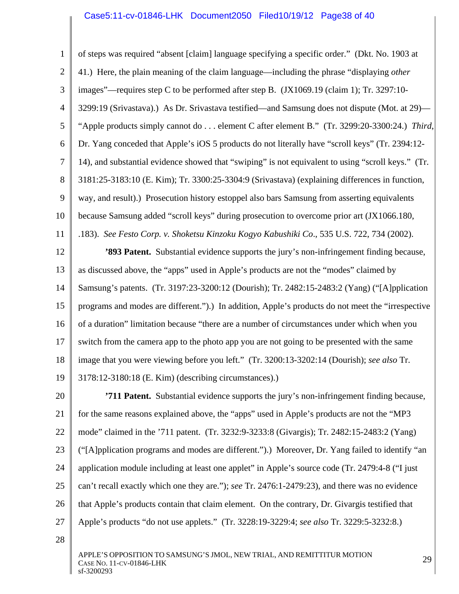## Case5:11-cv-01846-LHK Document2050 Filed10/19/12 Page38 of 40

1 2 3 4 5 6 7 8 9 10 11 of steps was required "absent [claim] language specifying a specific order." (Dkt. No. 1903 at 41.) Here, the plain meaning of the claim language—including the phrase "displaying *other* images"—requires step C to be performed after step B. (JX1069.19 (claim 1); Tr. 3297:10- 3299:19 (Srivastava).) As Dr. Srivastava testified—and Samsung does not dispute (Mot. at 29)— "Apple products simply cannot do . . . element C after element B." (Tr. 3299:20-3300:24.) *Third*, Dr. Yang conceded that Apple's iOS 5 products do not literally have "scroll keys" (Tr. 2394:12- 14), and substantial evidence showed that "swiping" is not equivalent to using "scroll keys." (Tr. 3181:25-3183:10 (E. Kim); Tr. 3300:25-3304:9 (Srivastava) (explaining differences in function, way, and result).) Prosecution history estoppel also bars Samsung from asserting equivalents because Samsung added "scroll keys" during prosecution to overcome prior art (JX1066.180, .183). *See Festo Corp. v. Shoketsu Kinzoku Kogyo Kabushiki Co*., 535 U.S. 722, 734 (2002).

12 13 14 15 16 17 18 19 **'893 Patent.** Substantial evidence supports the jury's non-infringement finding because, as discussed above, the "apps" used in Apple's products are not the "modes" claimed by Samsung's patents. (Tr. 3197:23-3200:12 (Dourish); Tr. 2482:15-2483:2 (Yang) ("[A]pplication programs and modes are different.").) In addition, Apple's products do not meet the "irrespective of a duration" limitation because "there are a number of circumstances under which when you switch from the camera app to the photo app you are not going to be presented with the same image that you were viewing before you left." (Tr. 3200:13-3202:14 (Dourish); *see also* Tr. 3178:12-3180:18 (E. Kim) (describing circumstances).)

20 21 22 23 24 25 26 27 **'711 Patent.** Substantial evidence supports the jury's non-infringement finding because, for the same reasons explained above, the "apps" used in Apple's products are not the "MP3 mode" claimed in the '711 patent. (Tr. 3232:9-3233:8 (Givargis); Tr. 2482:15-2483:2 (Yang) ("[A]pplication programs and modes are different.").) Moreover, Dr. Yang failed to identify "an application module including at least one applet" in Apple's source code (Tr. 2479:4-8 ("I just can't recall exactly which one they are."); *see* Tr. 2476:1-2479:23), and there was no evidence that Apple's products contain that claim element. On the contrary, Dr. Givargis testified that Apple's products "do not use applets." (Tr. 3228:19-3229:4; *see also* Tr. 3229:5-3232:8.)

28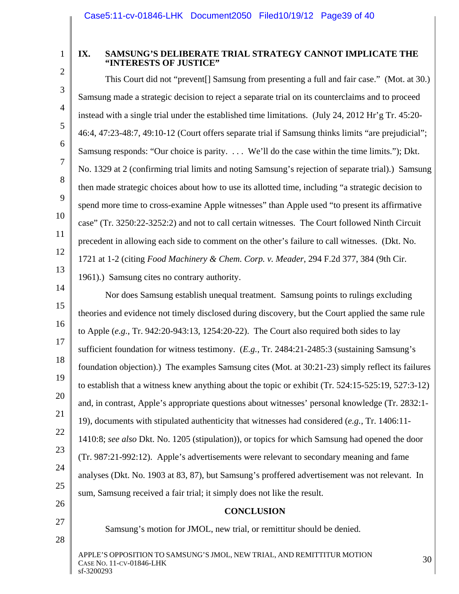1 2

3

4

5

6

7

8

9

10

11

12

13

### **IX. SAMSUNG'S DELIBERATE TRIAL STRATEGY CANNOT IMPLICATE THE "INTERESTS OF JUSTICE"**

This Court did not "prevent[] Samsung from presenting a full and fair case." (Mot. at 30.) Samsung made a strategic decision to reject a separate trial on its counterclaims and to proceed instead with a single trial under the established time limitations. (July 24, 2012 Hr'g Tr. 45:20- 46:4, 47:23-48:7, 49:10-12 (Court offers separate trial if Samsung thinks limits "are prejudicial"; Samsung responds: "Our choice is parity. . . . We'll do the case within the time limits."); Dkt. No. 1329 at 2 (confirming trial limits and noting Samsung's rejection of separate trial).) Samsung then made strategic choices about how to use its allotted time, including "a strategic decision to spend more time to cross-examine Apple witnesses" than Apple used "to present its affirmative case" (Tr. 3250:22-3252:2) and not to call certain witnesses. The Court followed Ninth Circuit precedent in allowing each side to comment on the other's failure to call witnesses. (Dkt. No. 1721 at 1-2 (citing *Food Machinery & Chem. Corp. v. Meader*, 294 F.2d 377, 384 (9th Cir. 1961).) Samsung cites no contrary authority.

14 15 16 17 18 19 20 21 22 23 24 25 26 Nor does Samsung establish unequal treatment. Samsung points to rulings excluding theories and evidence not timely disclosed during discovery, but the Court applied the same rule to Apple (*e.g.*, Tr. 942:20-943:13, 1254:20-22). The Court also required both sides to lay sufficient foundation for witness testimony. (*E.g.*, Tr. 2484:21-2485:3 (sustaining Samsung's foundation objection).) The examples Samsung cites (Mot. at 30:21-23) simply reflect its failures to establish that a witness knew anything about the topic or exhibit (Tr. 524:15-525:19, 527:3-12) and, in contrast, Apple's appropriate questions about witnesses' personal knowledge (Tr. 2832:1- 19), documents with stipulated authenticity that witnesses had considered (*e.g.*, Tr. 1406:11- 1410:8; *see also* Dkt. No. 1205 (stipulation)), or topics for which Samsung had opened the door (Tr. 987:21-992:12). Apple's advertisements were relevant to secondary meaning and fame analyses (Dkt. No. 1903 at 83, 87), but Samsung's proffered advertisement was not relevant. In sum, Samsung received a fair trial; it simply does not like the result. **CONCLUSION** 

27 28

Samsung's motion for JMOL, new trial, or remittitur should be denied.